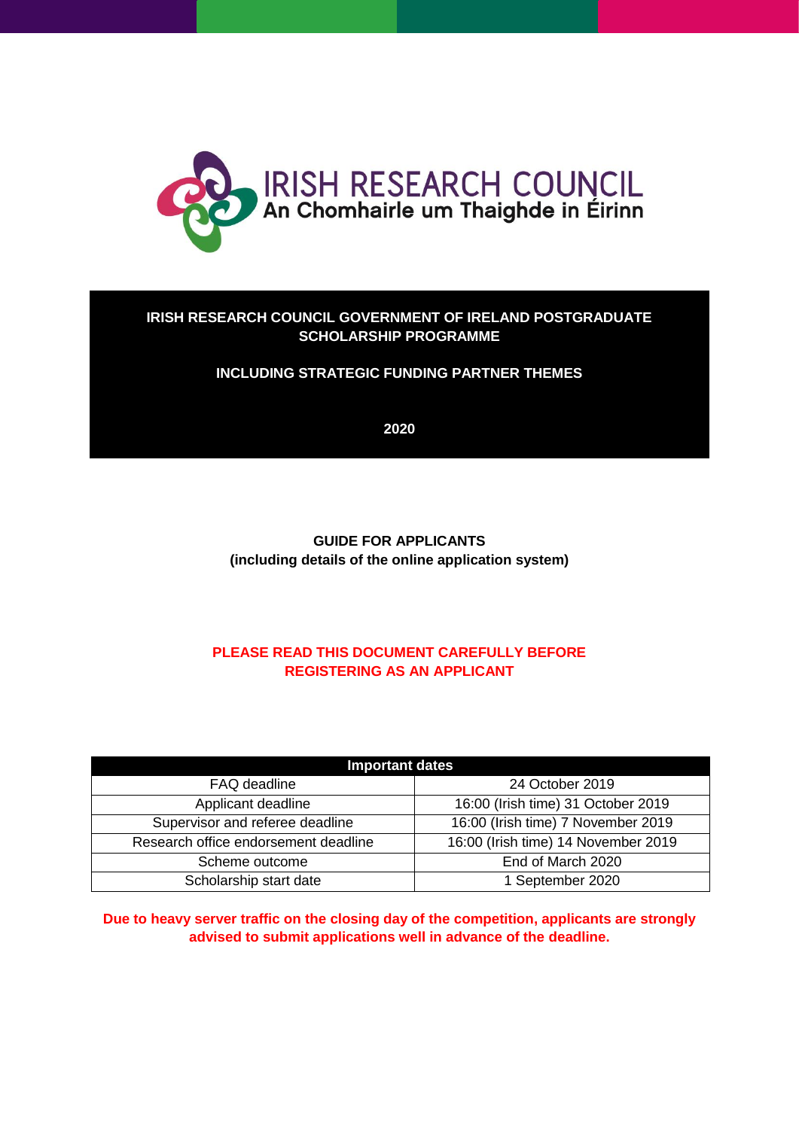

#### **IRISH RESEARCH COUNCIL GOVERNMENT OF IRELAND POSTGRADUATE SCHOLARSHIP PROGRAMME**

#### **INCLUDING STRATEGIC FUNDING PARTNER THEMES**

**2020**

**GUIDE FOR APPLICANTS (including details of the online application system)**

## **PLEASE READ THIS DOCUMENT CAREFULLY BEFORE REGISTERING AS AN APPLICANT**

| <b>Important dates</b>               |                                     |  |  |
|--------------------------------------|-------------------------------------|--|--|
| FAQ deadline                         | 24 October 2019                     |  |  |
| Applicant deadline                   | 16:00 (Irish time) 31 October 2019  |  |  |
| Supervisor and referee deadline      | 16:00 (Irish time) 7 November 2019  |  |  |
| Research office endorsement deadline | 16:00 (Irish time) 14 November 2019 |  |  |
| Scheme outcome                       | End of March 2020                   |  |  |
| Scholarship start date               | 1 September 2020                    |  |  |

**Due to heavy server traffic on the closing day of the competition, applicants are strongly advised to submit applications well in advance of the deadline.**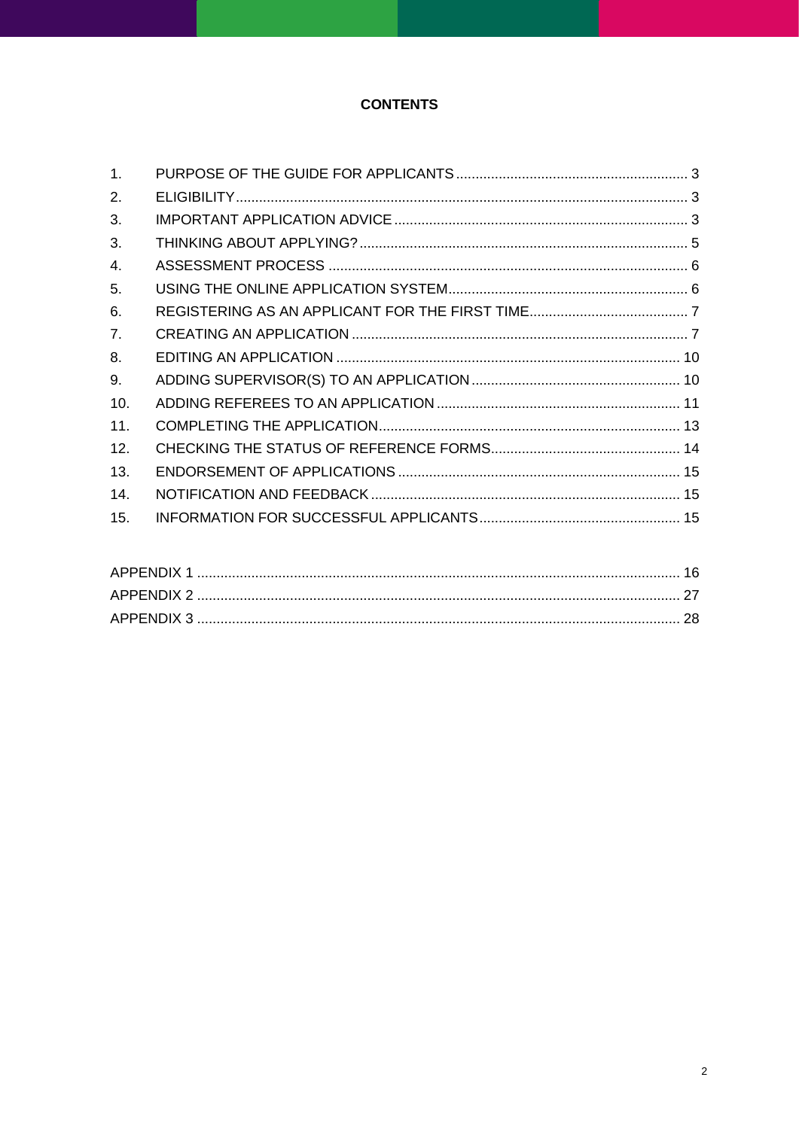## **CONTENTS**

| $\mathbf{1}$ . |  |
|----------------|--|
| 2.             |  |
| 3.             |  |
| 3.             |  |
| 4.             |  |
| 5.             |  |
| 6.             |  |
| 7 <sub>1</sub> |  |
| 8.             |  |
| 9.             |  |
| 10.            |  |
| 11.            |  |
| 12.            |  |
| 13.            |  |
| 14.            |  |
| 15.            |  |
|                |  |

| APPENDIX 1  |  |
|-------------|--|
|             |  |
| APPENDIX 3. |  |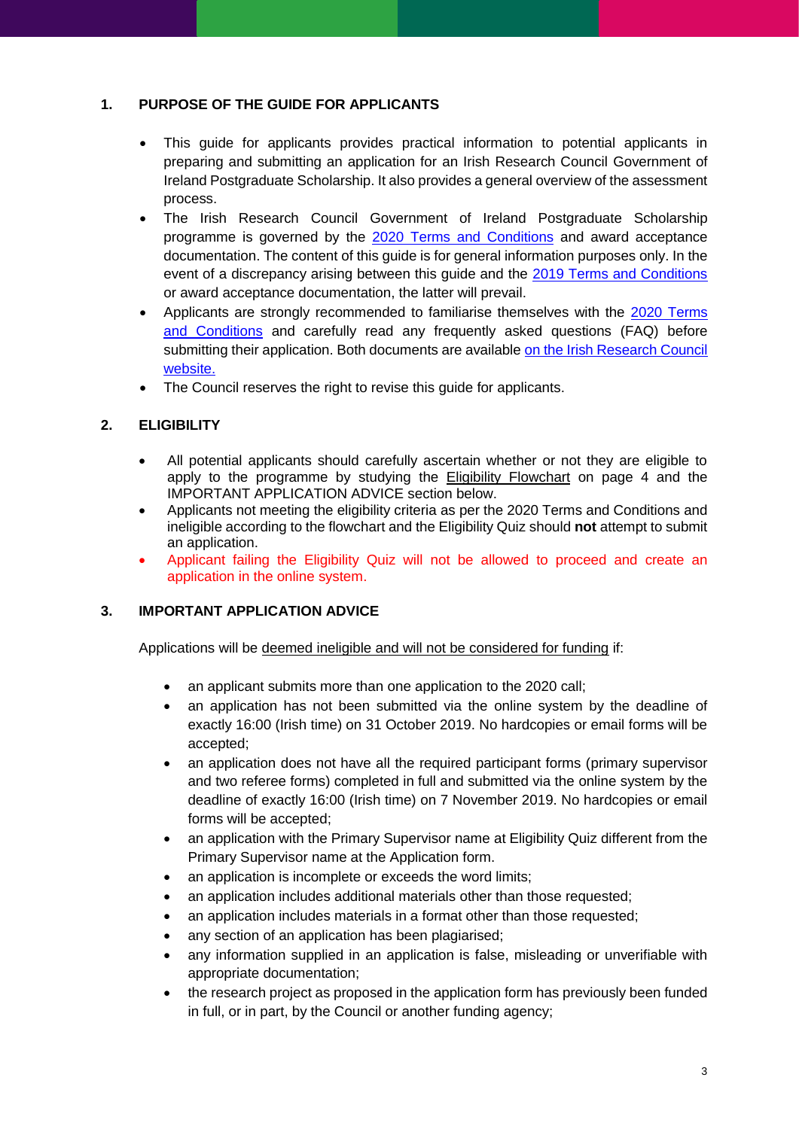#### <span id="page-2-0"></span>**1. PURPOSE OF THE GUIDE FOR APPLICANTS**

- This guide for applicants provides practical information to potential applicants in preparing and submitting an application for an Irish Research Council Government of Ireland Postgraduate Scholarship. It also provides a general overview of the assessment process.
- The Irish Research Council Government of Ireland Postgraduate Scholarship programme is governed by the 2020 [Terms and Conditions](http://research.ie/assets/uploads/2017/05/GOIPG_2019_Terms_and_Conditions_Final1.pdf) and award acceptance documentation. The content of this guide is for general information purposes only. In the event of a discrepancy arising between this guide and the [2019 Terms and Conditions](http://research.ie/assets/uploads/2017/05/GOIPG_2019_Terms_and_Conditions_Final1.pdf) or award acceptance documentation, the latter will prevail.
- Applicants are strongly recommended to familiarise themselves with the 2020 [Terms](http://research.ie/assets/uploads/2017/05/GOIPG_2019_Terms_and_Conditions_Final1.pdf)  [and Conditions](http://research.ie/assets/uploads/2017/05/GOIPG_2019_Terms_and_Conditions_Final1.pdf) and carefully read any frequently asked questions (FAQ) before submitting their application. Both documents are available [on the Irish Research Council](http://research.ie/funding/goipg/?f=postgraduate)  [website.](http://research.ie/funding/goipg/?f=postgraduate)
- The Council reserves the right to revise this guide for applicants.

## <span id="page-2-1"></span>**2. ELIGIBILITY**

- All potential applicants should carefully ascertain whether or not they are eligible to apply to the programme by studying the Eligibility Flowchart on page 4 and the IMPORTANT APPLICATION ADVICE section below.
- Applicants not meeting the eligibility criteria as per the 2020 Terms and Conditions and ineligible according to the flowchart and the Eligibility Quiz should **not** attempt to submit an application.
- Applicant failing the Eligibility Quiz will not be allowed to proceed and create an application in the online system.

#### <span id="page-2-2"></span>**3. IMPORTANT APPLICATION ADVICE**

Applications will be deemed ineligible and will not be considered for funding if:

- an applicant submits more than one application to the 2020 call;
- an application has not been submitted via the online system by the deadline of exactly 16:00 (Irish time) on 31 October 2019. No hardcopies or email forms will be accepted;
- an application does not have all the required participant forms (primary supervisor and two referee forms) completed in full and submitted via the online system by the deadline of exactly 16:00 (Irish time) on 7 November 2019. No hardcopies or email forms will be accepted;
- an application with the Primary Supervisor name at Eligibility Quiz different from the Primary Supervisor name at the Application form.
- an application is incomplete or exceeds the word limits:
- an application includes additional materials other than those requested;
- an application includes materials in a format other than those requested;
- any section of an application has been plagiarised;
- any information supplied in an application is false, misleading or unverifiable with appropriate documentation;
- the research project as proposed in the application form has previously been funded in full, or in part, by the Council or another funding agency;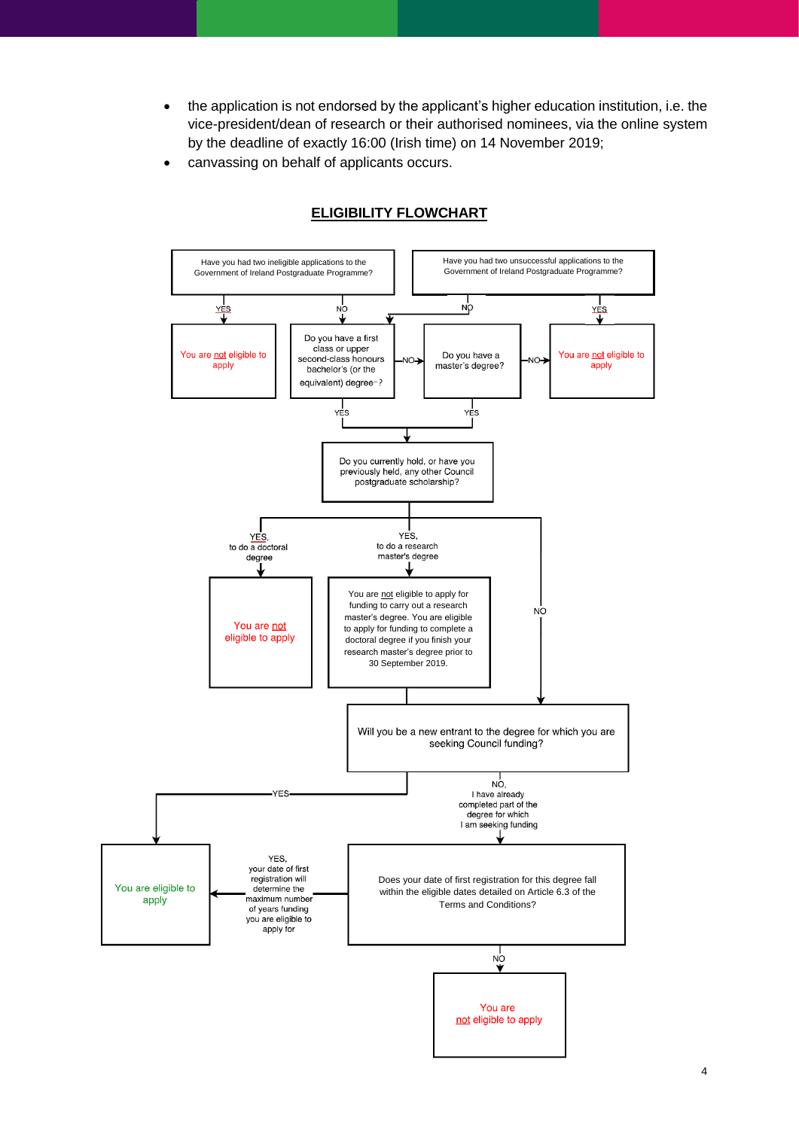- the application is not endorsed by the applicant's higher education institution, i.e. the vice-president/dean of research or their authorised nominees, via the online system by the deadline of exactly 16:00 (Irish time) on 14 November 2019;
- canvassing on behalf of applicants occurs.



## **ELIGIBILITY FLOWCHART**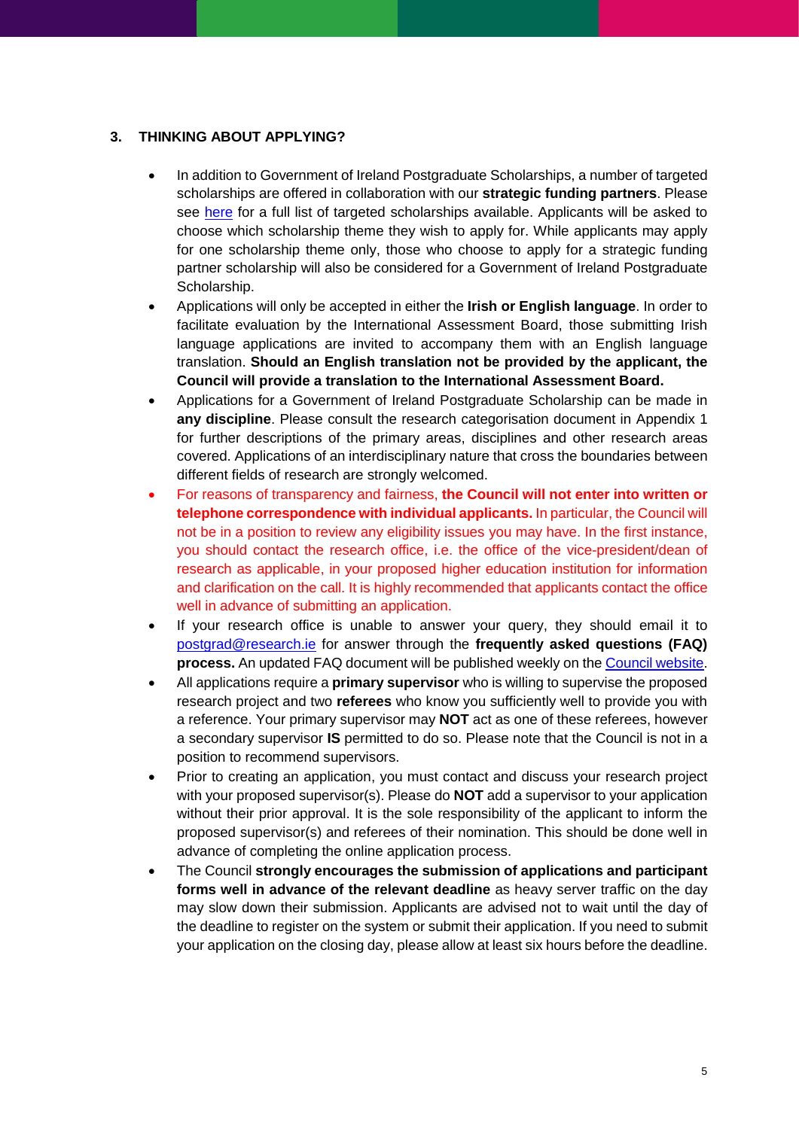## <span id="page-4-0"></span>**3. THINKING ABOUT APPLYING?**

- In addition to Government of Ireland Postgraduate Scholarships, a number of targeted scholarships are offered in collaboration with our **strategic funding partners**. Please see [here](http://research.ie/funding/goipg/) for a full list of targeted scholarships available. Applicants will be asked to choose which scholarship theme they wish to apply for. While applicants may apply for one scholarship theme only, those who choose to apply for a strategic funding partner scholarship will also be considered for a Government of Ireland Postgraduate Scholarship.
- Applications will only be accepted in either the **Irish or English language**. In order to facilitate evaluation by the International Assessment Board, those submitting Irish language applications are invited to accompany them with an English language translation. **Should an English translation not be provided by the applicant, the Council will provide a translation to the International Assessment Board.**
- Applications for a Government of Ireland Postgraduate Scholarship can be made in **any discipline**. Please consult the research categorisation document in Appendix 1 for further descriptions of the primary areas, disciplines and other research areas covered. Applications of an interdisciplinary nature that cross the boundaries between different fields of research are strongly welcomed.
- For reasons of transparency and fairness, **the Council will not enter into written or telephone correspondence with individual applicants.** In particular, the Council will not be in a position to review any eligibility issues you may have. In the first instance, you should contact the research office, i.e. the office of the vice-president/dean of research as applicable, in your proposed higher education institution for information and clarification on the call. It is highly recommended that applicants contact the office well in advance of submitting an application.
- If your research office is unable to answer your query, they should email it to [postgrad@research.ie](mailto:postgrad@research.ie) for answer through the **frequently asked questions (FAQ) process.** An updated FAQ document will be published weekly on the [Council website.](http://research.ie/funding/goipg)
- All applications require a **primary supervisor** who is willing to supervise the proposed research project and two **referees** who know you sufficiently well to provide you with a reference. Your primary supervisor may **NOT** act as one of these referees, however a secondary supervisor **IS** permitted to do so. Please note that the Council is not in a position to recommend supervisors.
- Prior to creating an application, you must contact and discuss your research project with your proposed supervisor(s). Please do **NOT** add a supervisor to your application without their prior approval. It is the sole responsibility of the applicant to inform the proposed supervisor(s) and referees of their nomination. This should be done well in advance of completing the online application process.
- The Council **strongly encourages the submission of applications and participant forms well in advance of the relevant deadline** as heavy server traffic on the day may slow down their submission. Applicants are advised not to wait until the day of the deadline to register on the system or submit their application. If you need to submit your application on the closing day, please allow at least six hours before the deadline.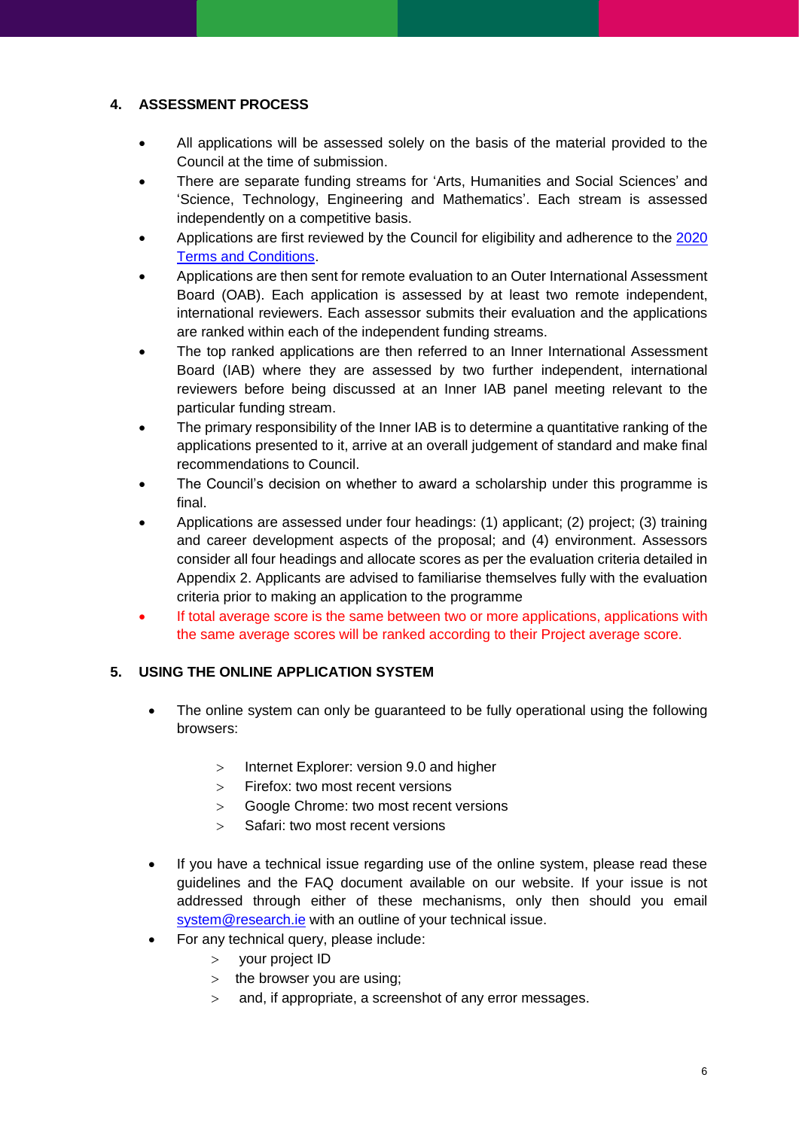#### <span id="page-5-0"></span>**4. ASSESSMENT PROCESS**

- All applications will be assessed solely on the basis of the material provided to the Council at the time of submission.
- There are separate funding streams for 'Arts, Humanities and Social Sciences' and 'Science, Technology, Engineering and Mathematics'. Each stream is assessed independently on a competitive basis.
- Applications are first reviewed by the Council for eligibility and adherence to the [2020](http://research.ie/assets/uploads/2017/05/GOIPG_2019_Terms_and_Conditions_Final1.pdf) [Terms and Conditions.](http://research.ie/assets/uploads/2017/05/GOIPG_2019_Terms_and_Conditions_Final1.pdf)
- Applications are then sent for remote evaluation to an Outer International Assessment Board (OAB). Each application is assessed by at least two remote independent, international reviewers. Each assessor submits their evaluation and the applications are ranked within each of the independent funding streams.
- The top ranked applications are then referred to an Inner International Assessment Board (IAB) where they are assessed by two further independent, international reviewers before being discussed at an Inner IAB panel meeting relevant to the particular funding stream.
- The primary responsibility of the Inner IAB is to determine a quantitative ranking of the applications presented to it, arrive at an overall judgement of standard and make final recommendations to Council.
- The Council's decision on whether to award a scholarship under this programme is final.
- Applications are assessed under four headings: (1) applicant; (2) project; (3) training and career development aspects of the proposal; and (4) environment. Assessors consider all four headings and allocate scores as per the evaluation criteria detailed in Appendix 2. Applicants are advised to familiarise themselves fully with the evaluation criteria prior to making an application to the programme
- If total average score is the same between two or more applications, applications with the same average scores will be ranked according to their Project average score.

## <span id="page-5-1"></span>**5. USING THE ONLINE APPLICATION SYSTEM**

- The online system can only be guaranteed to be fully operational using the following browsers:
	- $>$  Internet Explorer: version 9.0 and higher
	- > Firefox: two most recent versions
	- Google Chrome: two most recent versions
	- $>$  Safari: two most recent versions
- If you have a technical issue regarding use of the online system, please read these guidelines and the FAQ document available on our website. If your issue is not addressed through either of these mechanisms, only then should you email system@research.ie with an outline of your technical issue.
	- For any technical query, please include:
		- > your project ID
		- $>$  the browser you are using:
		- and, if appropriate, a screenshot of any error messages.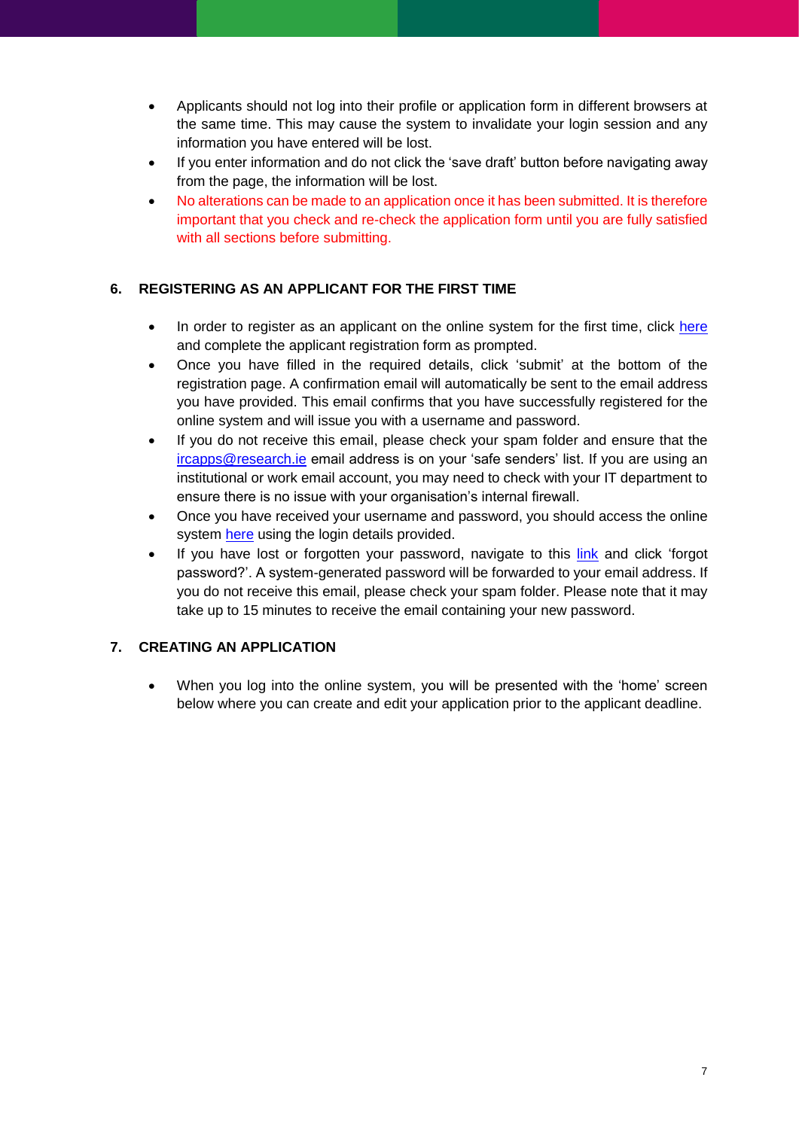- Applicants should not log into their profile or application form in different browsers at the same time. This may cause the system to invalidate your login session and any information you have entered will be lost.
- If you enter information and do not click the 'save draft' button before navigating away from the page, the information will be lost.
- No alterations can be made to an application once it has been submitted. It is therefore important that you check and re-check the application form until you are fully satisfied with all sections before submitting.

#### <span id="page-6-0"></span>**6. REGISTERING AS AN APPLICANT FOR THE FIRST TIME**

- In order to register as an applicant on the online system for the first time, click [here](https://irishresearch.smartsimple.ie/s_Login.jsp) and complete the applicant registration form as prompted.
- Once you have filled in the required details, click 'submit' at the bottom of the registration page. A confirmation email will automatically be sent to the email address you have provided. This email confirms that you have successfully registered for the online system and will issue you with a username and password.
- If you do not receive this email, please check your spam folder and ensure that the [ircapps@research.ie](mailto:ircapps@research.ie) email address is on your 'safe senders' list. If you are using an institutional or work email account, you may need to check with your IT department to ensure there is no issue with your organisation's internal firewall.
- Once you have received your username and password, you should access the online system [here](https://irishresearch.smartsimple.ie/s_Login.jsp) using the login details provided.
- If you have lost or forgotten your password, navigate to this [link](https://irishresearch.smartsimple.ie/s_Login.jsp) and click 'forgot password?'. A system-generated password will be forwarded to your email address. If you do not receive this email, please check your spam folder. Please note that it may take up to 15 minutes to receive the email containing your new password.

## <span id="page-6-1"></span>**7. CREATING AN APPLICATION**

• When you log into the online system, you will be presented with the 'home' screen below where you can create and edit your application prior to the applicant deadline.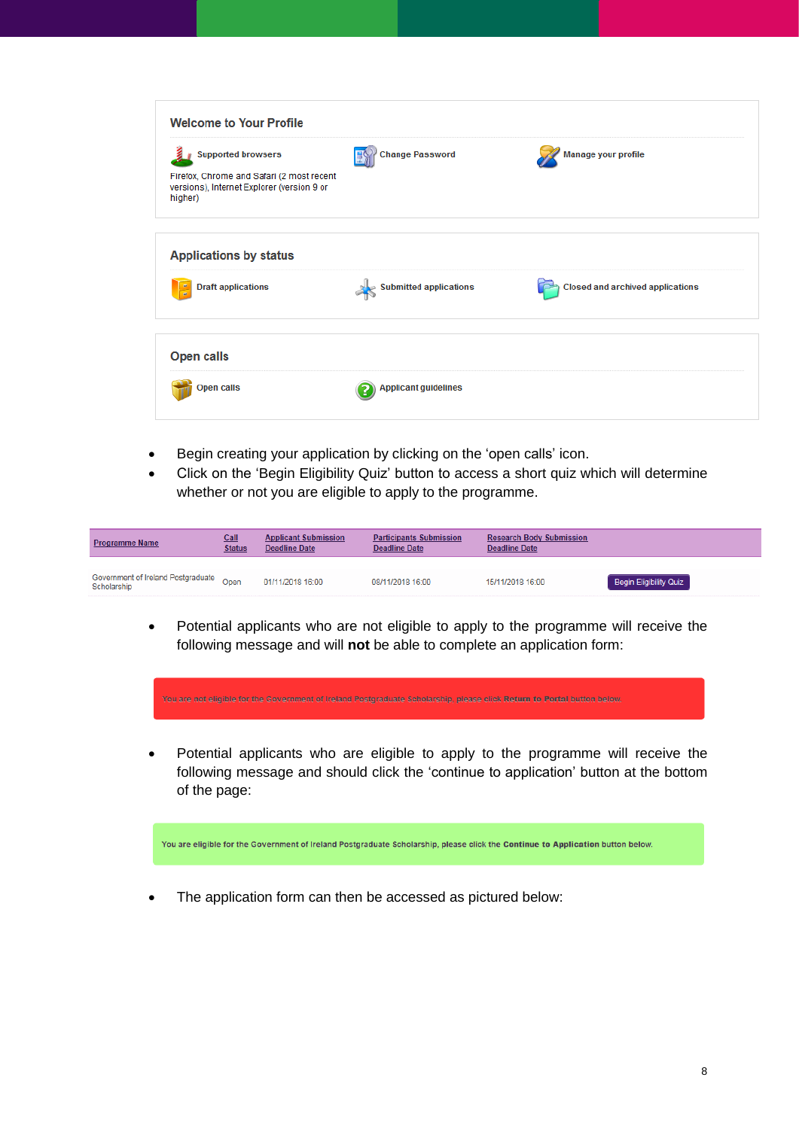| <b>Supported browsers</b>                                                                          | <b>Change Password</b>        | Manage your profile                     |
|----------------------------------------------------------------------------------------------------|-------------------------------|-----------------------------------------|
| Firefox, Chrome and Safari (2 most recent<br>versions), Internet Explorer (version 9 or<br>higher) |                               |                                         |
| <b>Applications by status</b>                                                                      |                               |                                         |
| <b>Draft applications</b>                                                                          | <b>Submitted applications</b> | <b>Closed and archived applications</b> |
| <b>Open calls</b>                                                                                  |                               |                                         |
| <b>Open calls</b>                                                                                  | <b>Applicant guidelines</b>   |                                         |

- Begin creating your application by clicking on the 'open calls' icon.
- Click on the 'Begin Eligibility Quiz' button to access a short quiz which will determine whether or not you are eligible to apply to the programme.

| <b>Programme Name</b>                             | Call<br><b>Status</b> | <b>Applicant Submission</b><br><b>Deadline Date</b> | <b>Participants Submission</b><br>Deadline Date | <b>Research Body Submission</b><br><b>Deadline Date</b> |                               |
|---------------------------------------------------|-----------------------|-----------------------------------------------------|-------------------------------------------------|---------------------------------------------------------|-------------------------------|
| Government of Ireland Postgraduate<br>Scholarship | $\bigcirc$ pen        | 01/11/2018 16:00                                    | 08/11/2018 16:00                                | 15/11/2018 16:00                                        | <b>Begin Eligibility Quiz</b> |

• Potential applicants who are not eligible to apply to the programme will receive the following message and will **not** be able to complete an application form:



You are eligible for the Government of Ireland Postgraduate Scholarship, please click the Continue to Application button below.

The application form can then be accessed as pictured below: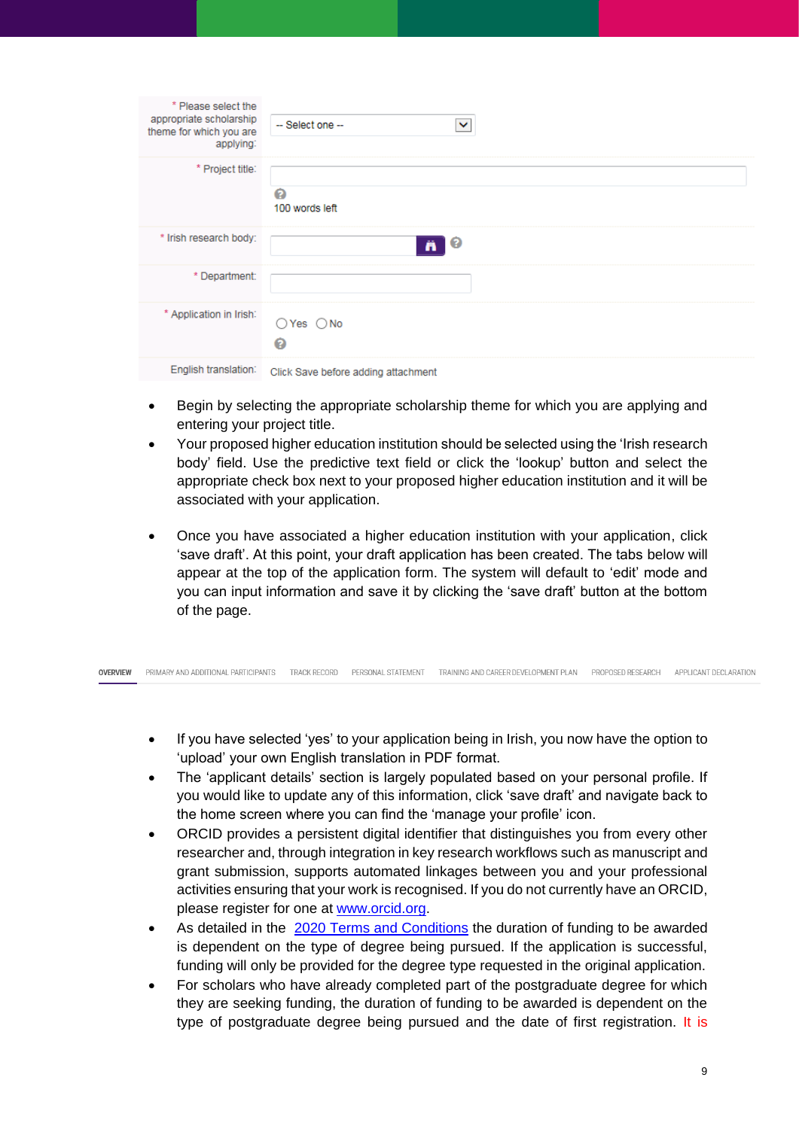| * Please select the<br>appropriate scholarship<br>theme for which you are<br>applying: | -- Select one --<br>◡               |
|----------------------------------------------------------------------------------------|-------------------------------------|
| * Project title:                                                                       | ℯ<br>100 words left                 |
| * Irish research body:                                                                 | (၁<br>Ä                             |
| * Department:                                                                          |                                     |
| * Application in Irish:                                                                | $\bigcirc$ Yes $\bigcirc$ No<br>ℯ   |
| English translation:                                                                   | Click Save before adding attachment |

- Begin by selecting the appropriate scholarship theme for which you are applying and entering your project title.
- Your proposed higher education institution should be selected using the 'Irish research body' field. Use the predictive text field or click the 'lookup' button and select the appropriate check box next to your proposed higher education institution and it will be associated with your application.
- Once you have associated a higher education institution with your application, click 'save draft'. At this point, your draft application has been created. The tabs below will appear at the top of the application form. The system will default to 'edit' mode and you can input information and save it by clicking the 'save draft' button at the bottom of the page.

|  |  |  |  | OVERVIEW PRIMARY AND ADDITIONAL PARTICIPANTS TRACK RECORD PERSONAL STATEMENT TRAINING AND CAREER DEVELOPMENT PLAN PROPOSED RESEARCH APPLICANT DECLARATION |  |  |
|--|--|--|--|-----------------------------------------------------------------------------------------------------------------------------------------------------------|--|--|
|--|--|--|--|-----------------------------------------------------------------------------------------------------------------------------------------------------------|--|--|

- If you have selected 'yes' to your application being in Irish, you now have the option to 'upload' your own English translation in PDF format.
- The 'applicant details' section is largely populated based on your personal profile. If you would like to update any of this information, click 'save draft' and navigate back to the home screen where you can find the 'manage your profile' icon.
- ORCID provides a persistent digital identifier that distinguishes you from every other researcher and, through integration in key research workflows such as manuscript and grant submission, supports automated linkages between you and your professional activities ensuring that your work is recognised. If you do not currently have an ORCID, please register for one at [www.orcid.org.](http://www.orcid.org/)
- As detailed in the 2020 [Terms and Conditions](http://research.ie/assets/uploads/2017/05/GOIPG_2019_Terms_and_Conditions_Final1.pdf) the duration of funding to be awarded is dependent on the type of degree being pursued. If the application is successful, funding will only be provided for the degree type requested in the original application.
- For scholars who have already completed part of the postgraduate degree for which they are seeking funding, the duration of funding to be awarded is dependent on the type of postgraduate degree being pursued and the date of first registration. It is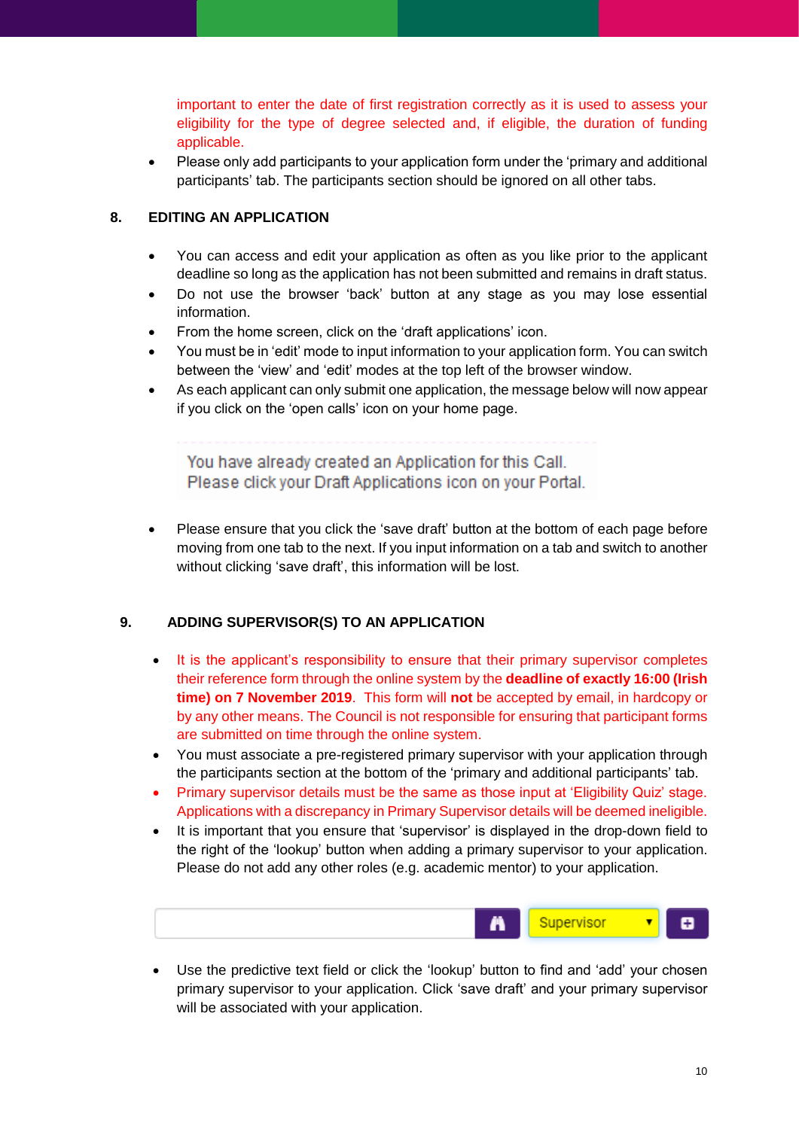important to enter the date of first registration correctly as it is used to assess your eligibility for the type of degree selected and, if eligible, the duration of funding applicable.

• Please only add participants to your application form under the 'primary and additional participants' tab. The participants section should be ignored on all other tabs.

#### <span id="page-9-0"></span>**8. EDITING AN APPLICATION**

- You can access and edit your application as often as you like prior to the applicant deadline so long as the application has not been submitted and remains in draft status.
- Do not use the browser 'back' button at any stage as you may lose essential information.
- From the home screen, click on the 'draft applications' icon.
- You must be in 'edit' mode to input information to your application form. You can switch between the 'view' and 'edit' modes at the top left of the browser window.
- As each applicant can only submit one application, the message below will now appear if you click on the 'open calls' icon on your home page.

You have already created an Application for this Call. Please click your Draft Applications icon on your Portal.

• Please ensure that you click the 'save draft' button at the bottom of each page before moving from one tab to the next. If you input information on a tab and switch to another without clicking 'save draft', this information will be lost.

#### <span id="page-9-1"></span>**9. ADDING SUPERVISOR(S) TO AN APPLICATION**

- It is the applicant's responsibility to ensure that their primary supervisor completes their reference form through the online system by the **deadline of exactly 16:00 (Irish time) on 7 November 2019**. This form will **not** be accepted by email, in hardcopy or by any other means. The Council is not responsible for ensuring that participant forms are submitted on time through the online system.
- You must associate a pre-registered primary supervisor with your application through the participants section at the bottom of the 'primary and additional participants' tab.
- Primary supervisor details must be the same as those input at 'Eligibility Quiz' stage. Applications with a discrepancy in Primary Supervisor details will be deemed ineligible.
- It is important that you ensure that 'supervisor' is displayed in the drop-down field to the right of the 'lookup' button when adding a primary supervisor to your application. Please do not add any other roles (e.g. academic mentor) to your application.

|  |  |  | <b>A</b> Supervisor <b>v</b> |  |  |
|--|--|--|------------------------------|--|--|
|--|--|--|------------------------------|--|--|

• Use the predictive text field or click the 'lookup' button to find and 'add' your chosen primary supervisor to your application. Click 'save draft' and your primary supervisor will be associated with your application.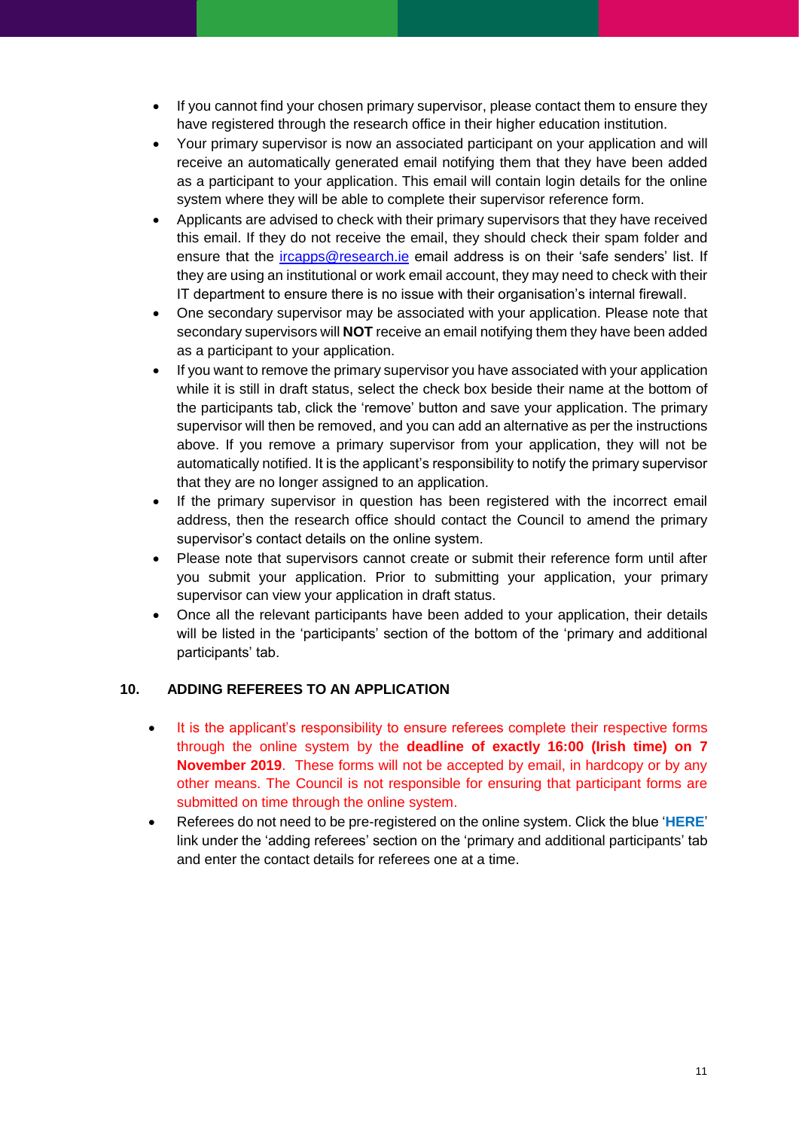- If you cannot find your chosen primary supervisor, please contact them to ensure they have registered through the research office in their higher education institution.
- Your primary supervisor is now an associated participant on your application and will receive an automatically generated email notifying them that they have been added as a participant to your application. This email will contain login details for the online system where they will be able to complete their supervisor reference form.
- Applicants are advised to check with their primary supervisors that they have received this email. If they do not receive the email, they should check their spam folder and ensure that the *ircapps@research.ie* email address is on their 'safe senders' list. If they are using an institutional or work email account, they may need to check with their IT department to ensure there is no issue with their organisation's internal firewall.
- One secondary supervisor may be associated with your application. Please note that secondary supervisors will **NOT** receive an email notifying them they have been added as a participant to your application.
- If you want to remove the primary supervisor you have associated with your application while it is still in draft status, select the check box beside their name at the bottom of the participants tab, click the 'remove' button and save your application. The primary supervisor will then be removed, and you can add an alternative as per the instructions above. If you remove a primary supervisor from your application, they will not be automatically notified. It is the applicant's responsibility to notify the primary supervisor that they are no longer assigned to an application.
- If the primary supervisor in question has been registered with the incorrect email address, then the research office should contact the Council to amend the primary supervisor's contact details on the online system.
- Please note that supervisors cannot create or submit their reference form until after you submit your application. Prior to submitting your application, your primary supervisor can view your application in draft status.
- Once all the relevant participants have been added to your application, their details will be listed in the 'participants' section of the bottom of the 'primary and additional participants' tab.

## <span id="page-10-0"></span>**10. ADDING REFEREES TO AN APPLICATION**

- It is the applicant's responsibility to ensure referees complete their respective forms through the online system by the **deadline of exactly 16:00 (Irish time) on 7 November 2019**. These forms will not be accepted by email, in hardcopy or by any other means. The Council is not responsible for ensuring that participant forms are submitted on time through the online system.
- Referees do not need to be pre-registered on the online system. Click the blue '**HERE**' link under the 'adding referees' section on the 'primary and additional participants' tab and enter the contact details for referees one at a time.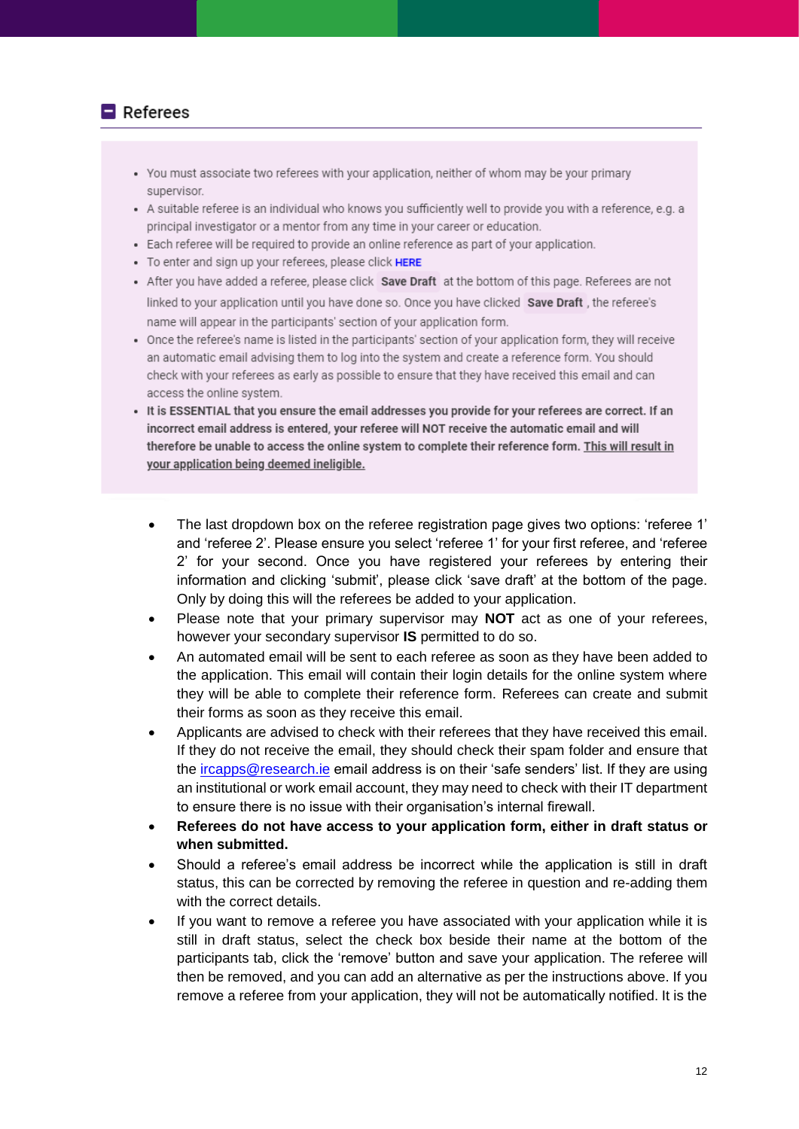#### $\blacksquare$  Referees

- You must associate two referees with your application, neither of whom may be your primary supervisor.
- A suitable referee is an individual who knows you sufficiently well to provide you with a reference, e.g. a principal investigator or a mentor from any time in your career or education.
- Each referee will be required to provide an online reference as part of your application.
- To enter and sign up your referees, please click HERE
- After you have added a referee, please click Save Draft at the bottom of this page. Referees are not linked to your application until you have done so. Once you have clicked Save Draft, the referee's name will appear in the participants' section of your application form.
- Once the referee's name is listed in the participants' section of your application form, they will receive an automatic email advising them to log into the system and create a reference form. You should check with your referees as early as possible to ensure that they have received this email and can access the online system.
- . It is ESSENTIAL that you ensure the email addresses you provide for your referees are correct. If an incorrect email address is entered, your referee will NOT receive the automatic email and will therefore be unable to access the online system to complete their reference form. This will result in your application being deemed ineligible.
	- The last dropdown box on the referee registration page gives two options: 'referee 1' and 'referee 2'. Please ensure you select 'referee 1' for your first referee, and 'referee 2' for your second. Once you have registered your referees by entering their information and clicking 'submit', please click 'save draft' at the bottom of the page. Only by doing this will the referees be added to your application.
	- Please note that your primary supervisor may **NOT** act as one of your referees, however your secondary supervisor **IS** permitted to do so.
	- An automated email will be sent to each referee as soon as they have been added to the application. This email will contain their login details for the online system where they will be able to complete their reference form. Referees can create and submit their forms as soon as they receive this email.
	- Applicants are advised to check with their referees that they have received this email. If they do not receive the email, they should check their spam folder and ensure that the [ircapps@research.ie](mailto:ircapps@research.ie) email address is on their 'safe senders' list. If they are using an institutional or work email account, they may need to check with their IT department to ensure there is no issue with their organisation's internal firewall.
	- **Referees do not have access to your application form, either in draft status or when submitted.**
	- Should a referee's email address be incorrect while the application is still in draft status, this can be corrected by removing the referee in question and re-adding them with the correct details.
	- If you want to remove a referee you have associated with your application while it is still in draft status, select the check box beside their name at the bottom of the participants tab, click the 'remove' button and save your application. The referee will then be removed, and you can add an alternative as per the instructions above. If you remove a referee from your application, they will not be automatically notified. It is the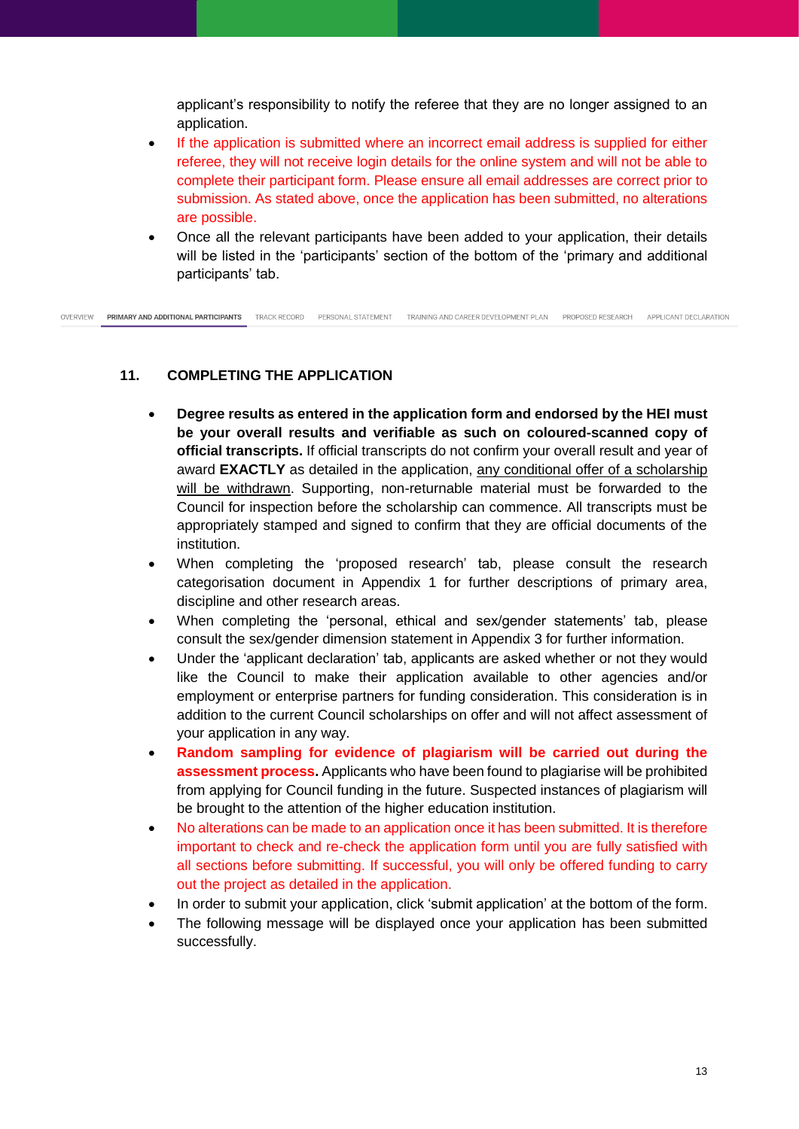applicant's responsibility to notify the referee that they are no longer assigned to an application.

- If the application is submitted where an incorrect email address is supplied for either referee, they will not receive login details for the online system and will not be able to complete their participant form. Please ensure all email addresses are correct prior to submission. As stated above, once the application has been submitted, no alterations are possible.
- Once all the relevant participants have been added to your application, their details will be listed in the 'participants' section of the bottom of the 'primary and additional participants' tab.

**PRIMARY AND ADDITIONAL PARTICIPANTS TRACK RECORD PERSONAL STATEMENT** TRAINING AND CAREER DEVELOPMENT PLAN PROPOSED RESEARCH APPLICANT DECLARATION OVERVIEW

#### <span id="page-12-0"></span>**11. COMPLETING THE APPLICATION**

- **Degree results as entered in the application form and endorsed by the HEI must be your overall results and verifiable as such on coloured-scanned copy of official transcripts.** If official transcripts do not confirm your overall result and year of award **EXACTLY** as detailed in the application, any conditional offer of a scholarship will be withdrawn. Supporting, non-returnable material must be forwarded to the Council for inspection before the scholarship can commence. All transcripts must be appropriately stamped and signed to confirm that they are official documents of the institution.
- When completing the 'proposed research' tab, please consult the research categorisation document in Appendix 1 for further descriptions of primary area, discipline and other research areas.
- When completing the 'personal, ethical and sex/gender statements' tab, please consult the sex/gender dimension statement in Appendix 3 for further information.
- Under the 'applicant declaration' tab, applicants are asked whether or not they would like the Council to make their application available to other agencies and/or employment or enterprise partners for funding consideration. This consideration is in addition to the current Council scholarships on offer and will not affect assessment of your application in any way.
- **Random sampling for evidence of plagiarism will be carried out during the assessment process.** Applicants who have been found to plagiarise will be prohibited from applying for Council funding in the future. Suspected instances of plagiarism will be brought to the attention of the higher education institution.
- No alterations can be made to an application once it has been submitted. It is therefore important to check and re-check the application form until you are fully satisfied with all sections before submitting. If successful, you will only be offered funding to carry out the project as detailed in the application.
- In order to submit your application, click 'submit application' at the bottom of the form.
- The following message will be displayed once your application has been submitted successfully.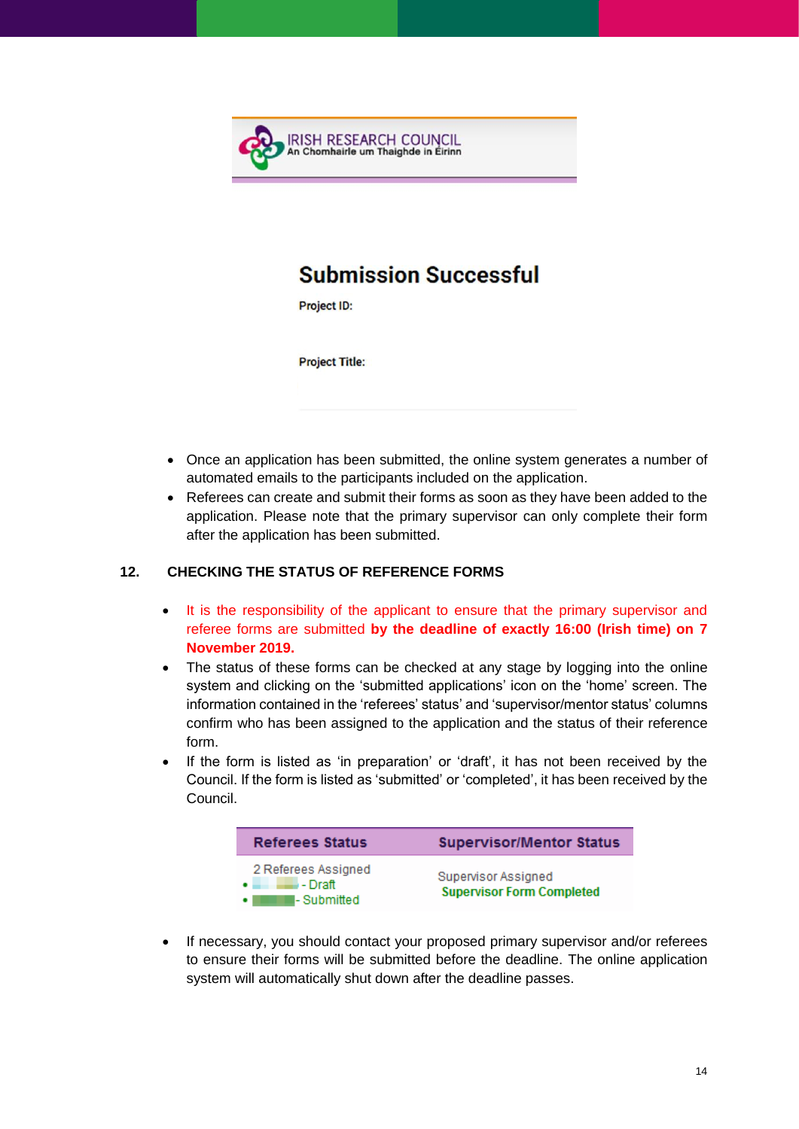

# **Submission Successful**

**Project ID:** 

**Project Title:** 

- Once an application has been submitted, the online system generates a number of automated emails to the participants included on the application.
- Referees can create and submit their forms as soon as they have been added to the application. Please note that the primary supervisor can only complete their form after the application has been submitted.

#### <span id="page-13-0"></span>**12. CHECKING THE STATUS OF REFERENCE FORMS**

- It is the responsibility of the applicant to ensure that the primary supervisor and referee forms are submitted **by the deadline of exactly 16:00 (Irish time) on 7 November 2019.**
- The status of these forms can be checked at any stage by logging into the online system and clicking on the 'submitted applications' icon on the 'home' screen. The information contained in the 'referees' status' and 'supervisor/mentor status' columns confirm who has been assigned to the application and the status of their reference form.
- If the form is listed as 'in preparation' or 'draft', it has not been received by the Council. If the form is listed as 'submitted' or 'completed', it has been received by the Council.

| <b>Referees Status</b>                                                          | <b>Supervisor/Mentor Status</b>                         |
|---------------------------------------------------------------------------------|---------------------------------------------------------|
| 2 Referees Assigned<br>$\bullet$ $\qquad \qquad$ - Draft<br>I- Submitted<br>. . | Supervisor Assigned<br><b>Supervisor Form Completed</b> |

• If necessary, you should contact your proposed primary supervisor and/or referees to ensure their forms will be submitted before the deadline. The online application system will automatically shut down after the deadline passes.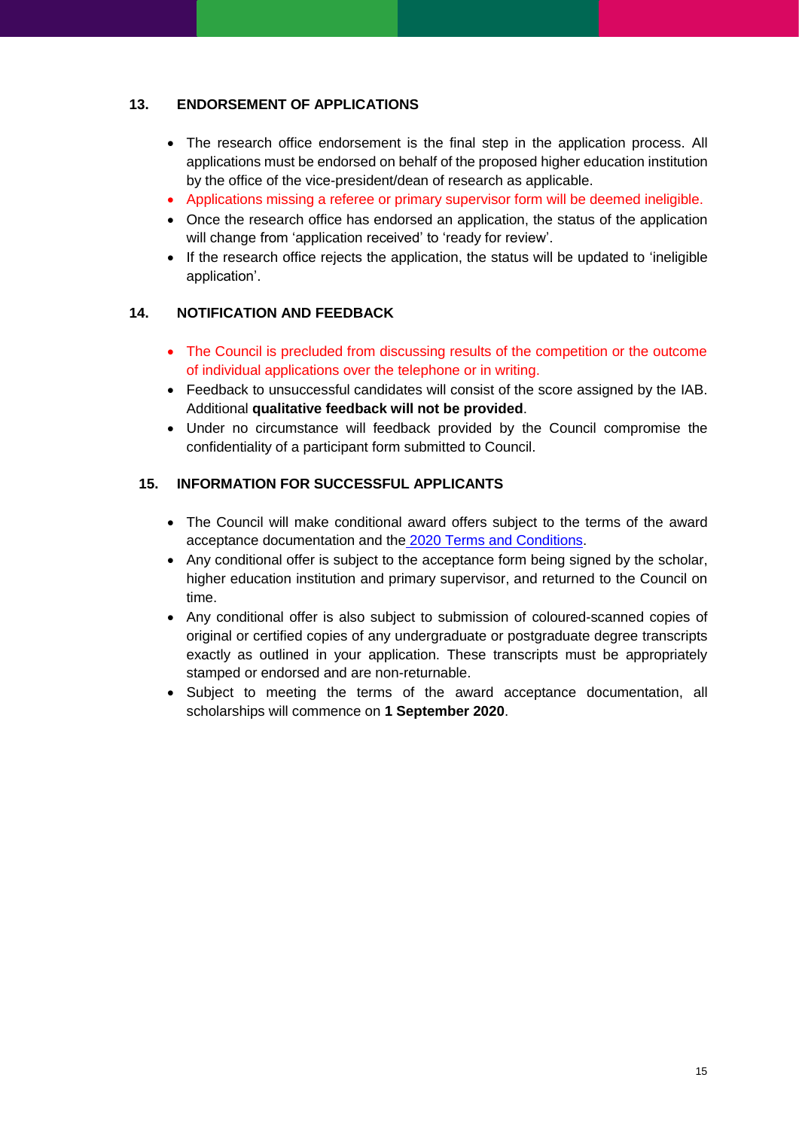#### <span id="page-14-0"></span>**13. ENDORSEMENT OF APPLICATIONS**

- The research office endorsement is the final step in the application process. All applications must be endorsed on behalf of the proposed higher education institution by the office of the vice-president/dean of research as applicable.
- Applications missing a referee or primary supervisor form will be deemed ineligible.
- Once the research office has endorsed an application, the status of the application will change from 'application received' to 'ready for review'.
- If the research office rejects the application, the status will be updated to 'ineligible application'.

#### <span id="page-14-1"></span>**14. NOTIFICATION AND FEEDBACK**

- The Council is precluded from discussing results of the competition or the outcome of individual applications over the telephone or in writing.
- Feedback to unsuccessful candidates will consist of the score assigned by the IAB. Additional **qualitative feedback will not be provided**.
- Under no circumstance will feedback provided by the Council compromise the confidentiality of a participant form submitted to Council.

#### <span id="page-14-2"></span>**15. INFORMATION FOR SUCCESSFUL APPLICANTS**

- The Council will make conditional award offers subject to the terms of the award acceptance documentation and the 2020 [Terms and Conditions.](http://research.ie/assets/uploads/2017/05/GOIPG_2019_Terms_and_Conditions_Final1.pdf)
- Any conditional offer is subject to the acceptance form being signed by the scholar, higher education institution and primary supervisor, and returned to the Council on time.
- Any conditional offer is also subject to submission of coloured-scanned copies of original or certified copies of any undergraduate or postgraduate degree transcripts exactly as outlined in your application. These transcripts must be appropriately stamped or endorsed and are non-returnable.
- Subject to meeting the terms of the award acceptance documentation, all scholarships will commence on **1 September 2020**.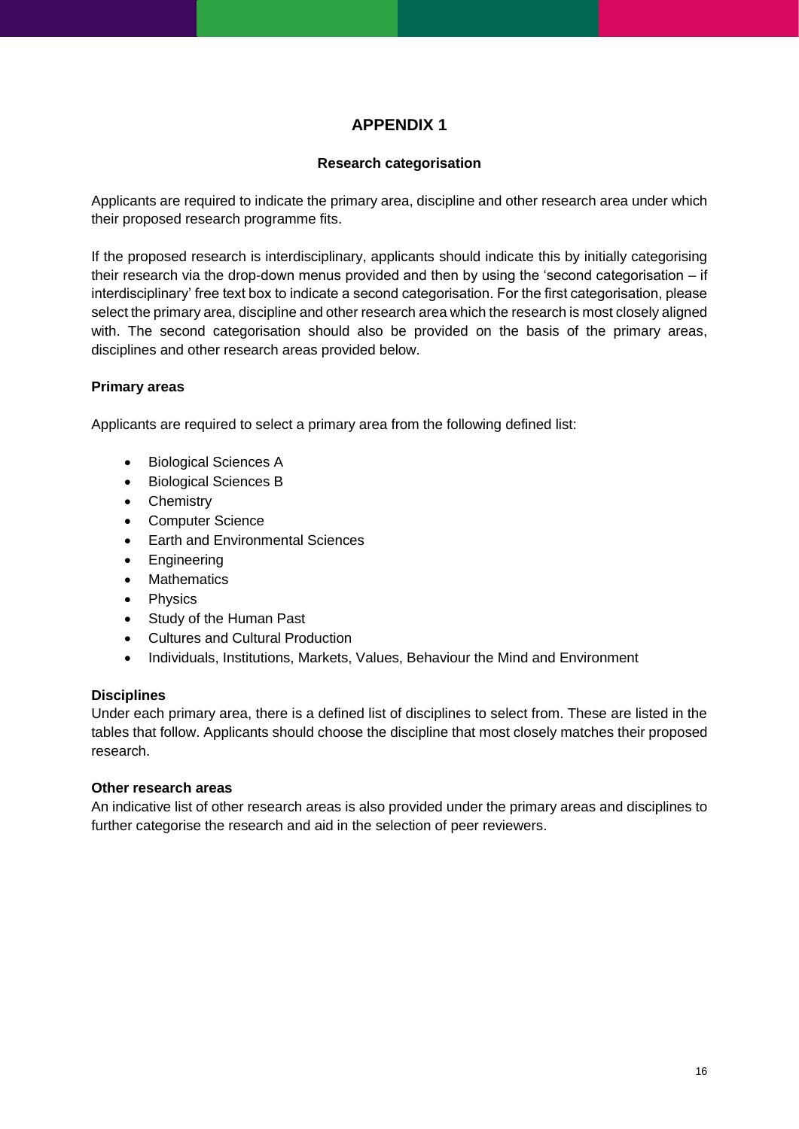# **APPENDIX 1**

#### **Research categorisation**

<span id="page-15-0"></span>Applicants are required to indicate the primary area, discipline and other research area under which their proposed research programme fits.

If the proposed research is interdisciplinary, applicants should indicate this by initially categorising their research via the drop-down menus provided and then by using the 'second categorisation – if interdisciplinary' free text box to indicate a second categorisation. For the first categorisation, please select the primary area, discipline and other research area which the research is most closely aligned with. The second categorisation should also be provided on the basis of the primary areas, disciplines and other research areas provided below.

#### **Primary areas**

Applicants are required to select a primary area from the following defined list:

- Biological Sciences A
- Biological Sciences B
- Chemistry
- Computer Science
- Earth and Environmental Sciences
- **Engineering**
- **Mathematics**
- **Physics**
- Study of the Human Past
- Cultures and Cultural Production
- Individuals, Institutions, Markets, Values, Behaviour the Mind and Environment

#### **Disciplines**

Under each primary area, there is a defined list of disciplines to select from. These are listed in the tables that follow. Applicants should choose the discipline that most closely matches their proposed research.

#### **Other research areas**

An indicative list of other research areas is also provided under the primary areas and disciplines to further categorise the research and aid in the selection of peer reviewers.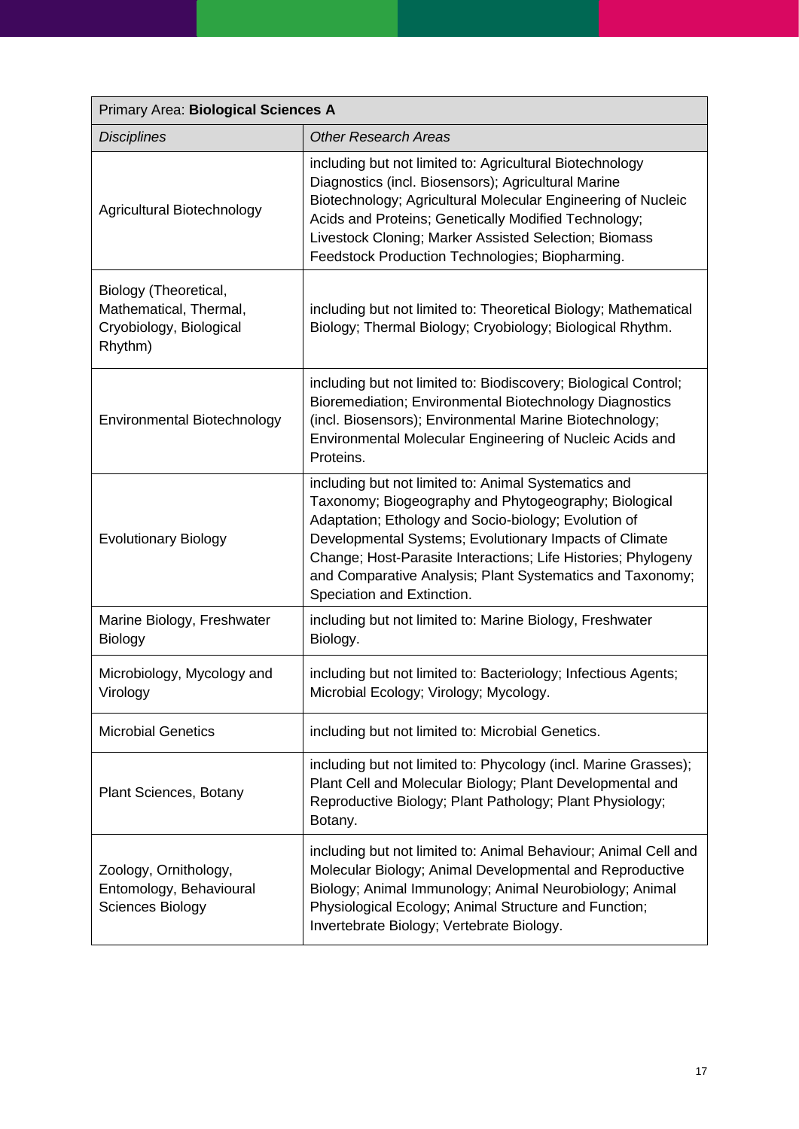| Primary Area: Biological Sciences A                                                   |                                                                                                                                                                                                                                                                                                                                                                                             |  |  |
|---------------------------------------------------------------------------------------|---------------------------------------------------------------------------------------------------------------------------------------------------------------------------------------------------------------------------------------------------------------------------------------------------------------------------------------------------------------------------------------------|--|--|
| <b>Disciplines</b>                                                                    | <b>Other Research Areas</b>                                                                                                                                                                                                                                                                                                                                                                 |  |  |
| Agricultural Biotechnology                                                            | including but not limited to: Agricultural Biotechnology<br>Diagnostics (incl. Biosensors); Agricultural Marine<br>Biotechnology; Agricultural Molecular Engineering of Nucleic<br>Acids and Proteins; Genetically Modified Technology;<br>Livestock Cloning; Marker Assisted Selection; Biomass<br>Feedstock Production Technologies; Biopharming.                                         |  |  |
| Biology (Theoretical,<br>Mathematical, Thermal,<br>Cryobiology, Biological<br>Rhythm) | including but not limited to: Theoretical Biology; Mathematical<br>Biology; Thermal Biology; Cryobiology; Biological Rhythm.                                                                                                                                                                                                                                                                |  |  |
| Environmental Biotechnology                                                           | including but not limited to: Biodiscovery; Biological Control;<br>Bioremediation; Environmental Biotechnology Diagnostics<br>(incl. Biosensors); Environmental Marine Biotechnology;<br>Environmental Molecular Engineering of Nucleic Acids and<br>Proteins.                                                                                                                              |  |  |
| <b>Evolutionary Biology</b>                                                           | including but not limited to: Animal Systematics and<br>Taxonomy; Biogeography and Phytogeography; Biological<br>Adaptation; Ethology and Socio-biology; Evolution of<br>Developmental Systems; Evolutionary Impacts of Climate<br>Change; Host-Parasite Interactions; Life Histories; Phylogeny<br>and Comparative Analysis; Plant Systematics and Taxonomy;<br>Speciation and Extinction. |  |  |
| Marine Biology, Freshwater<br><b>Biology</b>                                          | including but not limited to: Marine Biology, Freshwater<br>Biology.                                                                                                                                                                                                                                                                                                                        |  |  |
| Microbiology, Mycology and<br>Virology                                                | including but not limited to: Bacteriology; Infectious Agents;<br>Microbial Ecology; Virology; Mycology.                                                                                                                                                                                                                                                                                    |  |  |
| <b>Microbial Genetics</b>                                                             | including but not limited to: Microbial Genetics.                                                                                                                                                                                                                                                                                                                                           |  |  |
| <b>Plant Sciences, Botany</b>                                                         | including but not limited to: Phycology (incl. Marine Grasses);<br>Plant Cell and Molecular Biology; Plant Developmental and<br>Reproductive Biology; Plant Pathology; Plant Physiology;<br>Botany.                                                                                                                                                                                         |  |  |
| Zoology, Ornithology,<br>Entomology, Behavioural<br><b>Sciences Biology</b>           | including but not limited to: Animal Behaviour; Animal Cell and<br>Molecular Biology; Animal Developmental and Reproductive<br>Biology; Animal Immunology; Animal Neurobiology; Animal<br>Physiological Ecology; Animal Structure and Function;<br>Invertebrate Biology; Vertebrate Biology.                                                                                                |  |  |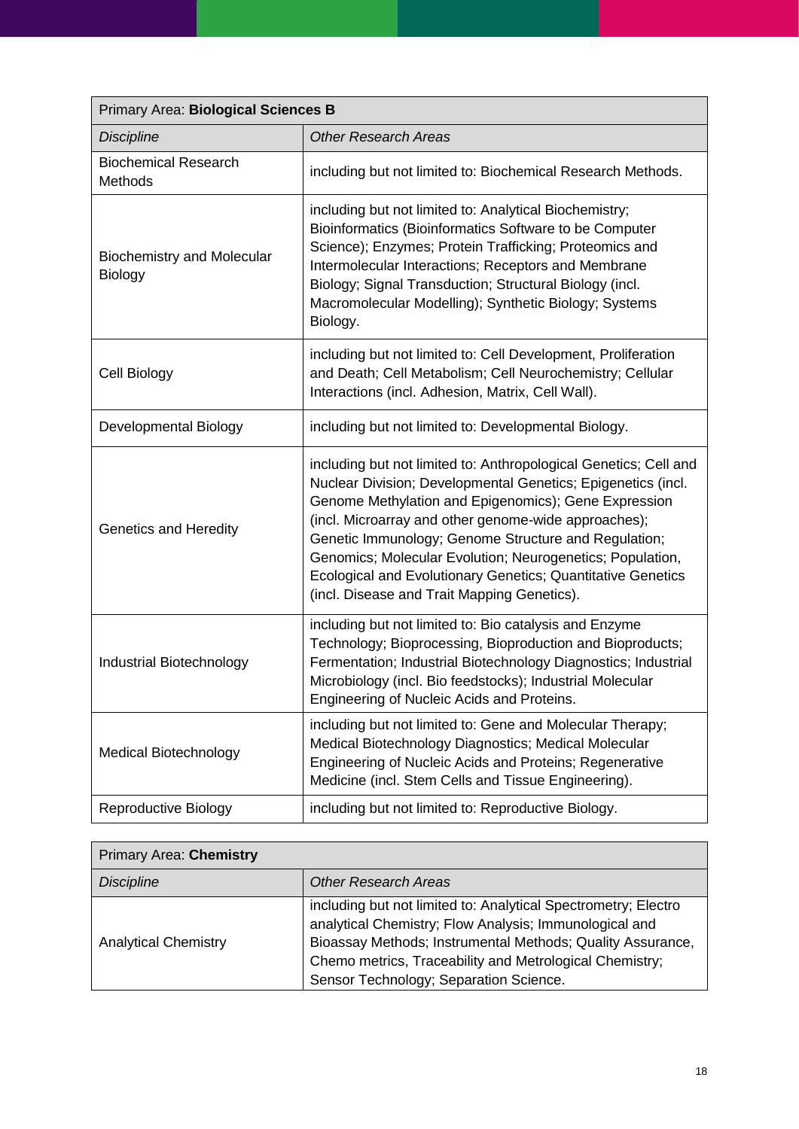| Primary Area: Biological Sciences B                 |                                                                                                                                                                                                                                                                                                                                                                                                                                                                                     |  |  |
|-----------------------------------------------------|-------------------------------------------------------------------------------------------------------------------------------------------------------------------------------------------------------------------------------------------------------------------------------------------------------------------------------------------------------------------------------------------------------------------------------------------------------------------------------------|--|--|
| <b>Discipline</b>                                   | <b>Other Research Areas</b>                                                                                                                                                                                                                                                                                                                                                                                                                                                         |  |  |
| <b>Biochemical Research</b><br>Methods              | including but not limited to: Biochemical Research Methods.                                                                                                                                                                                                                                                                                                                                                                                                                         |  |  |
| <b>Biochemistry and Molecular</b><br><b>Biology</b> | including but not limited to: Analytical Biochemistry;<br>Bioinformatics (Bioinformatics Software to be Computer<br>Science); Enzymes; Protein Trafficking; Proteomics and<br>Intermolecular Interactions; Receptors and Membrane<br>Biology; Signal Transduction; Structural Biology (incl.<br>Macromolecular Modelling); Synthetic Biology; Systems<br>Biology.                                                                                                                   |  |  |
| Cell Biology                                        | including but not limited to: Cell Development, Proliferation<br>and Death; Cell Metabolism; Cell Neurochemistry; Cellular<br>Interactions (incl. Adhesion, Matrix, Cell Wall).                                                                                                                                                                                                                                                                                                     |  |  |
| Developmental Biology                               | including but not limited to: Developmental Biology.                                                                                                                                                                                                                                                                                                                                                                                                                                |  |  |
| <b>Genetics and Heredity</b>                        | including but not limited to: Anthropological Genetics; Cell and<br>Nuclear Division; Developmental Genetics; Epigenetics (incl.<br>Genome Methylation and Epigenomics); Gene Expression<br>(incl. Microarray and other genome-wide approaches);<br>Genetic Immunology; Genome Structure and Regulation;<br>Genomics; Molecular Evolution; Neurogenetics; Population,<br>Ecological and Evolutionary Genetics; Quantitative Genetics<br>(incl. Disease and Trait Mapping Genetics). |  |  |
| Industrial Biotechnology                            | including but not limited to: Bio catalysis and Enzyme<br>Technology; Bioprocessing, Bioproduction and Bioproducts;<br>Fermentation; Industrial Biotechnology Diagnostics; Industrial<br>Microbiology (incl. Bio feedstocks); Industrial Molecular<br>Engineering of Nucleic Acids and Proteins.                                                                                                                                                                                    |  |  |
| <b>Medical Biotechnology</b>                        | including but not limited to: Gene and Molecular Therapy;<br>Medical Biotechnology Diagnostics; Medical Molecular<br>Engineering of Nucleic Acids and Proteins; Regenerative<br>Medicine (incl. Stem Cells and Tissue Engineering).                                                                                                                                                                                                                                                 |  |  |
| <b>Reproductive Biology</b>                         | including but not limited to: Reproductive Biology.                                                                                                                                                                                                                                                                                                                                                                                                                                 |  |  |

| <b>Primary Area: Chemistry</b> |                                                                                                                                                                                                                                                                                             |
|--------------------------------|---------------------------------------------------------------------------------------------------------------------------------------------------------------------------------------------------------------------------------------------------------------------------------------------|
| <b>Discipline</b>              | <b>Other Research Areas</b>                                                                                                                                                                                                                                                                 |
| <b>Analytical Chemistry</b>    | including but not limited to: Analytical Spectrometry; Electro<br>analytical Chemistry; Flow Analysis; Immunological and<br>Bioassay Methods; Instrumental Methods; Quality Assurance,<br>Chemo metrics, Traceability and Metrological Chemistry;<br>Sensor Technology; Separation Science. |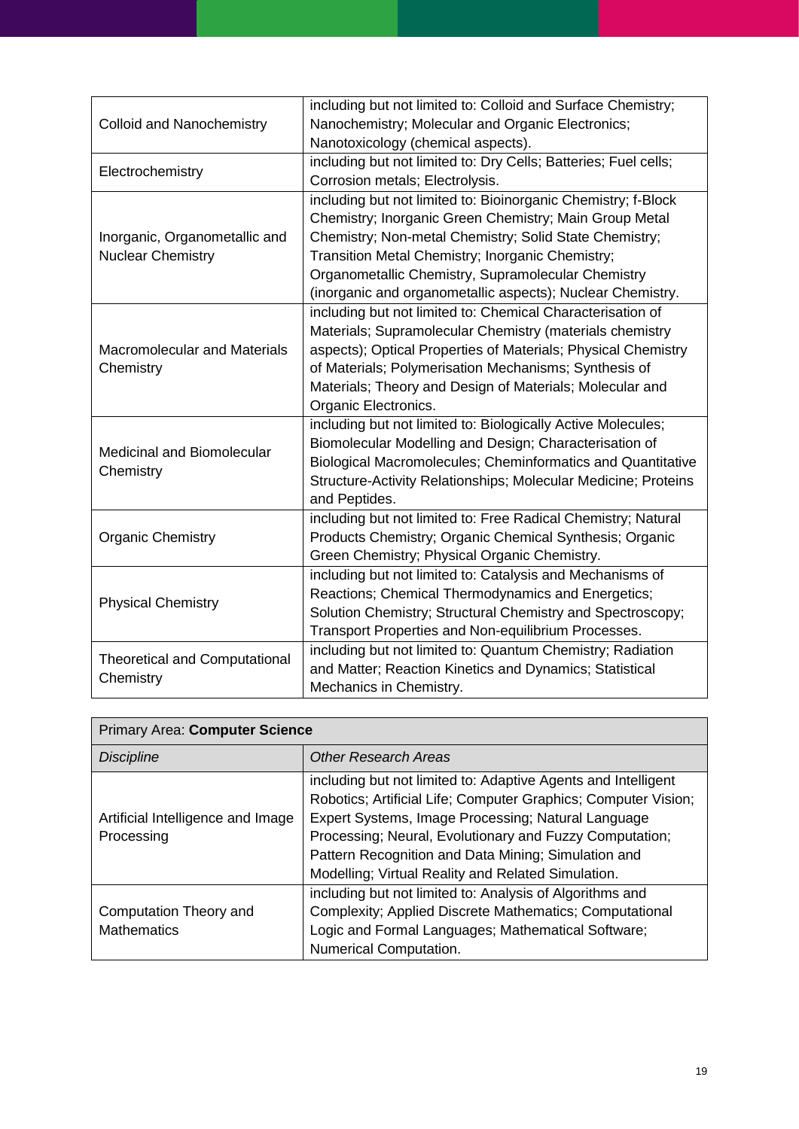| <b>Colloid and Nanochemistry</b>                  | including but not limited to: Colloid and Surface Chemistry;    |
|---------------------------------------------------|-----------------------------------------------------------------|
|                                                   | Nanochemistry; Molecular and Organic Electronics;               |
|                                                   | Nanotoxicology (chemical aspects).                              |
|                                                   | including but not limited to: Dry Cells; Batteries; Fuel cells; |
| Electrochemistry                                  | Corrosion metals; Electrolysis.                                 |
|                                                   | including but not limited to: Bioinorganic Chemistry; f-Block   |
|                                                   | Chemistry; Inorganic Green Chemistry; Main Group Metal          |
| Inorganic, Organometallic and                     | Chemistry; Non-metal Chemistry; Solid State Chemistry;          |
| <b>Nuclear Chemistry</b>                          | Transition Metal Chemistry; Inorganic Chemistry;                |
|                                                   | Organometallic Chemistry, Supramolecular Chemistry              |
|                                                   | (inorganic and organometallic aspects); Nuclear Chemistry.      |
|                                                   | including but not limited to: Chemical Characterisation of      |
|                                                   | Materials; Supramolecular Chemistry (materials chemistry        |
| <b>Macromolecular and Materials</b>               | aspects); Optical Properties of Materials; Physical Chemistry   |
| Chemistry                                         | of Materials; Polymerisation Mechanisms; Synthesis of           |
|                                                   | Materials; Theory and Design of Materials; Molecular and        |
|                                                   | Organic Electronics.                                            |
|                                                   | including but not limited to: Biologically Active Molecules;    |
| Medicinal and Biomolecular                        | Biomolecular Modelling and Design; Characterisation of          |
| Chemistry                                         | Biological Macromolecules; Cheminformatics and Quantitative     |
|                                                   | Structure-Activity Relationships; Molecular Medicine; Proteins  |
|                                                   | and Peptides.                                                   |
|                                                   | including but not limited to: Free Radical Chemistry; Natural   |
| <b>Organic Chemistry</b>                          | Products Chemistry; Organic Chemical Synthesis; Organic         |
|                                                   | Green Chemistry; Physical Organic Chemistry.                    |
|                                                   | including but not limited to: Catalysis and Mechanisms of       |
| <b>Physical Chemistry</b>                         | Reactions; Chemical Thermodynamics and Energetics;              |
|                                                   | Solution Chemistry; Structural Chemistry and Spectroscopy;      |
|                                                   | Transport Properties and Non-equilibrium Processes.             |
|                                                   | including but not limited to: Quantum Chemistry; Radiation      |
| <b>Theoretical and Computational</b><br>Chemistry | and Matter; Reaction Kinetics and Dynamics; Statistical         |
|                                                   | Mechanics in Chemistry.                                         |

| <b>Primary Area: Computer Science</b>           |                                                                |
|-------------------------------------------------|----------------------------------------------------------------|
| <b>Discipline</b>                               | <b>Other Research Areas</b>                                    |
|                                                 | including but not limited to: Adaptive Agents and Intelligent  |
|                                                 | Robotics; Artificial Life; Computer Graphics; Computer Vision; |
| Artificial Intelligence and Image<br>Processing | Expert Systems, Image Processing; Natural Language             |
|                                                 | Processing; Neural, Evolutionary and Fuzzy Computation;        |
|                                                 | Pattern Recognition and Data Mining; Simulation and            |
|                                                 | Modelling; Virtual Reality and Related Simulation.             |
| Computation Theory and<br><b>Mathematics</b>    | including but not limited to: Analysis of Algorithms and       |
|                                                 | Complexity; Applied Discrete Mathematics; Computational        |
|                                                 | Logic and Formal Languages; Mathematical Software;             |
|                                                 | Numerical Computation.                                         |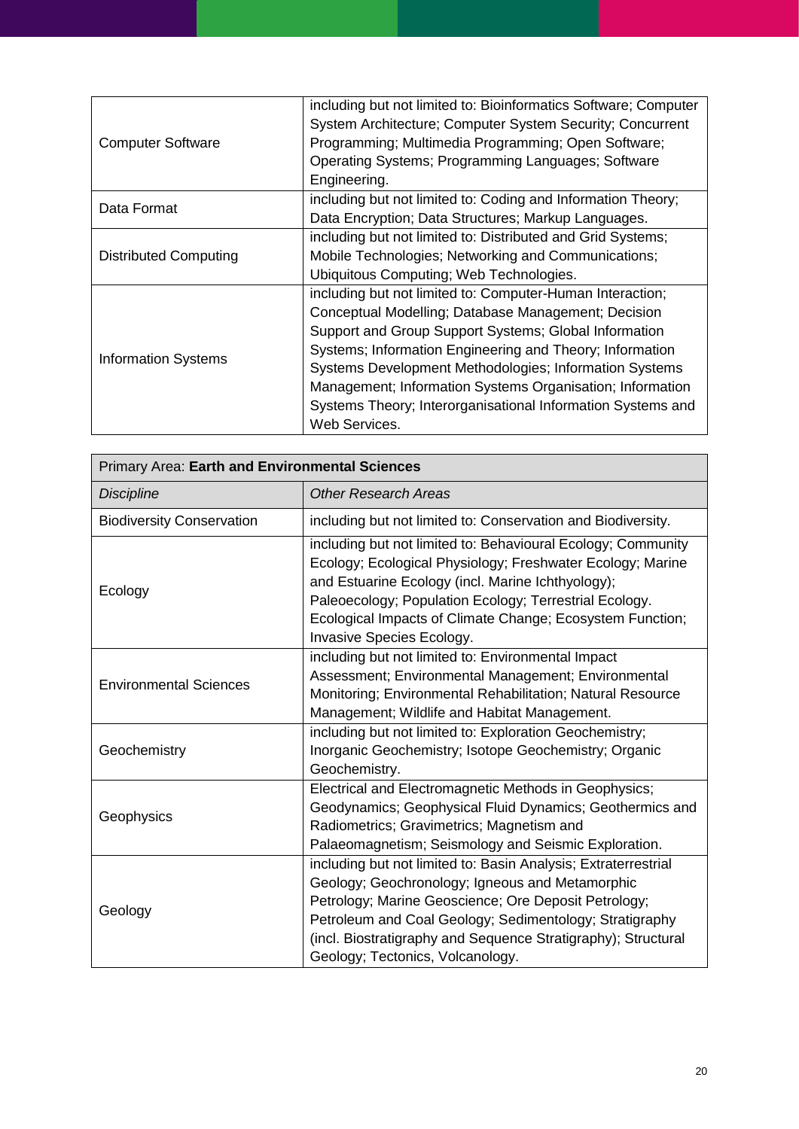|                              | including but not limited to: Bioinformatics Software; Computer |
|------------------------------|-----------------------------------------------------------------|
|                              | System Architecture; Computer System Security; Concurrent       |
| <b>Computer Software</b>     | Programming; Multimedia Programming; Open Software;             |
|                              | Operating Systems; Programming Languages; Software              |
|                              | Engineering.                                                    |
| Data Format                  | including but not limited to: Coding and Information Theory;    |
|                              | Data Encryption; Data Structures; Markup Languages.             |
|                              | including but not limited to: Distributed and Grid Systems;     |
| <b>Distributed Computing</b> | Mobile Technologies; Networking and Communications;             |
|                              | Ubiquitous Computing; Web Technologies.                         |
|                              | including but not limited to: Computer-Human Interaction;       |
|                              | Conceptual Modelling; Database Management; Decision             |
| <b>Information Systems</b>   | Support and Group Support Systems; Global Information           |
|                              | Systems; Information Engineering and Theory; Information        |
|                              | Systems Development Methodologies; Information Systems          |
|                              | Management; Information Systems Organisation; Information       |
|                              | Systems Theory; Interorganisational Information Systems and     |
|                              | Web Services.                                                   |

| Primary Area: Earth and Environmental Sciences |                                                                                                                                                                                                                                                                                                                                           |
|------------------------------------------------|-------------------------------------------------------------------------------------------------------------------------------------------------------------------------------------------------------------------------------------------------------------------------------------------------------------------------------------------|
| <b>Discipline</b>                              | <b>Other Research Areas</b>                                                                                                                                                                                                                                                                                                               |
| <b>Biodiversity Conservation</b>               | including but not limited to: Conservation and Biodiversity.                                                                                                                                                                                                                                                                              |
| Ecology                                        | including but not limited to: Behavioural Ecology; Community<br>Ecology; Ecological Physiology; Freshwater Ecology; Marine<br>and Estuarine Ecology (incl. Marine Ichthyology);<br>Paleoecology; Population Ecology; Terrestrial Ecology.<br>Ecological Impacts of Climate Change; Ecosystem Function;<br>Invasive Species Ecology.       |
| <b>Environmental Sciences</b>                  | including but not limited to: Environmental Impact<br>Assessment; Environmental Management; Environmental<br>Monitoring; Environmental Rehabilitation; Natural Resource<br>Management; Wildlife and Habitat Management.                                                                                                                   |
| Geochemistry                                   | including but not limited to: Exploration Geochemistry;<br>Inorganic Geochemistry; Isotope Geochemistry; Organic<br>Geochemistry.                                                                                                                                                                                                         |
| Geophysics                                     | Electrical and Electromagnetic Methods in Geophysics;<br>Geodynamics; Geophysical Fluid Dynamics; Geothermics and<br>Radiometrics; Gravimetrics; Magnetism and<br>Palaeomagnetism; Seismology and Seismic Exploration.                                                                                                                    |
| Geology                                        | including but not limited to: Basin Analysis; Extraterrestrial<br>Geology; Geochronology; Igneous and Metamorphic<br>Petrology; Marine Geoscience; Ore Deposit Petrology;<br>Petroleum and Coal Geology; Sedimentology; Stratigraphy<br>(incl. Biostratigraphy and Sequence Stratigraphy); Structural<br>Geology; Tectonics, Volcanology. |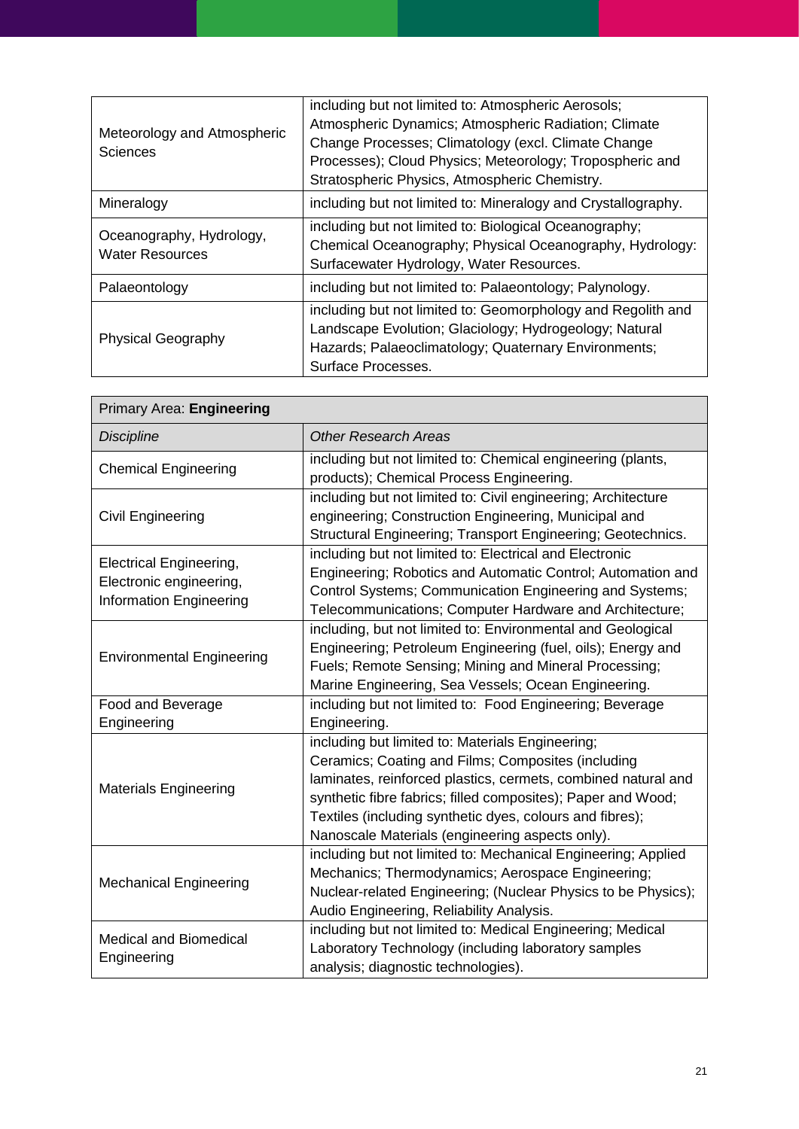| Meteorology and Atmospheric<br>Sciences            | including but not limited to: Atmospheric Aerosols;<br>Atmospheric Dynamics; Atmospheric Radiation; Climate<br>Change Processes; Climatology (excl. Climate Change<br>Processes); Cloud Physics; Meteorology; Tropospheric and<br>Stratospheric Physics, Atmospheric Chemistry. |
|----------------------------------------------------|---------------------------------------------------------------------------------------------------------------------------------------------------------------------------------------------------------------------------------------------------------------------------------|
| Mineralogy                                         | including but not limited to: Mineralogy and Crystallography.                                                                                                                                                                                                                   |
| Oceanography, Hydrology,<br><b>Water Resources</b> | including but not limited to: Biological Oceanography;<br>Chemical Oceanography; Physical Oceanography, Hydrology:<br>Surfacewater Hydrology, Water Resources.                                                                                                                  |
| Palaeontology                                      | including but not limited to: Palaeontology; Palynology.                                                                                                                                                                                                                        |
| <b>Physical Geography</b>                          | including but not limited to: Geomorphology and Regolith and<br>Landscape Evolution; Glaciology; Hydrogeology; Natural<br>Hazards; Palaeoclimatology; Quaternary Environments;<br>Surface Processes.                                                                            |

| Primary Area: Engineering                                                            |                                                                                                                                                                                                                                                                                                                                                        |
|--------------------------------------------------------------------------------------|--------------------------------------------------------------------------------------------------------------------------------------------------------------------------------------------------------------------------------------------------------------------------------------------------------------------------------------------------------|
| <b>Discipline</b>                                                                    | <b>Other Research Areas</b>                                                                                                                                                                                                                                                                                                                            |
| <b>Chemical Engineering</b>                                                          | including but not limited to: Chemical engineering (plants,<br>products); Chemical Process Engineering.                                                                                                                                                                                                                                                |
| Civil Engineering                                                                    | including but not limited to: Civil engineering; Architecture<br>engineering; Construction Engineering, Municipal and<br>Structural Engineering; Transport Engineering; Geotechnics.                                                                                                                                                                   |
| Electrical Engineering,<br>Electronic engineering,<br><b>Information Engineering</b> | including but not limited to: Electrical and Electronic<br>Engineering; Robotics and Automatic Control; Automation and<br>Control Systems; Communication Engineering and Systems;<br>Telecommunications; Computer Hardware and Architecture;                                                                                                           |
| <b>Environmental Engineering</b>                                                     | including, but not limited to: Environmental and Geological<br>Engineering; Petroleum Engineering (fuel, oils); Energy and<br>Fuels; Remote Sensing; Mining and Mineral Processing;<br>Marine Engineering, Sea Vessels; Ocean Engineering.                                                                                                             |
| Food and Beverage                                                                    | including but not limited to: Food Engineering; Beverage                                                                                                                                                                                                                                                                                               |
| Engineering                                                                          | Engineering.                                                                                                                                                                                                                                                                                                                                           |
| <b>Materials Engineering</b>                                                         | including but limited to: Materials Engineering;<br>Ceramics; Coating and Films; Composites (including<br>laminates, reinforced plastics, cermets, combined natural and<br>synthetic fibre fabrics; filled composites); Paper and Wood;<br>Textiles (including synthetic dyes, colours and fibres);<br>Nanoscale Materials (engineering aspects only). |
| <b>Mechanical Engineering</b>                                                        | including but not limited to: Mechanical Engineering; Applied<br>Mechanics; Thermodynamics; Aerospace Engineering;<br>Nuclear-related Engineering; (Nuclear Physics to be Physics);<br>Audio Engineering, Reliability Analysis.                                                                                                                        |
| <b>Medical and Biomedical</b><br>Engineering                                         | including but not limited to: Medical Engineering; Medical<br>Laboratory Technology (including laboratory samples<br>analysis; diagnostic technologies).                                                                                                                                                                                               |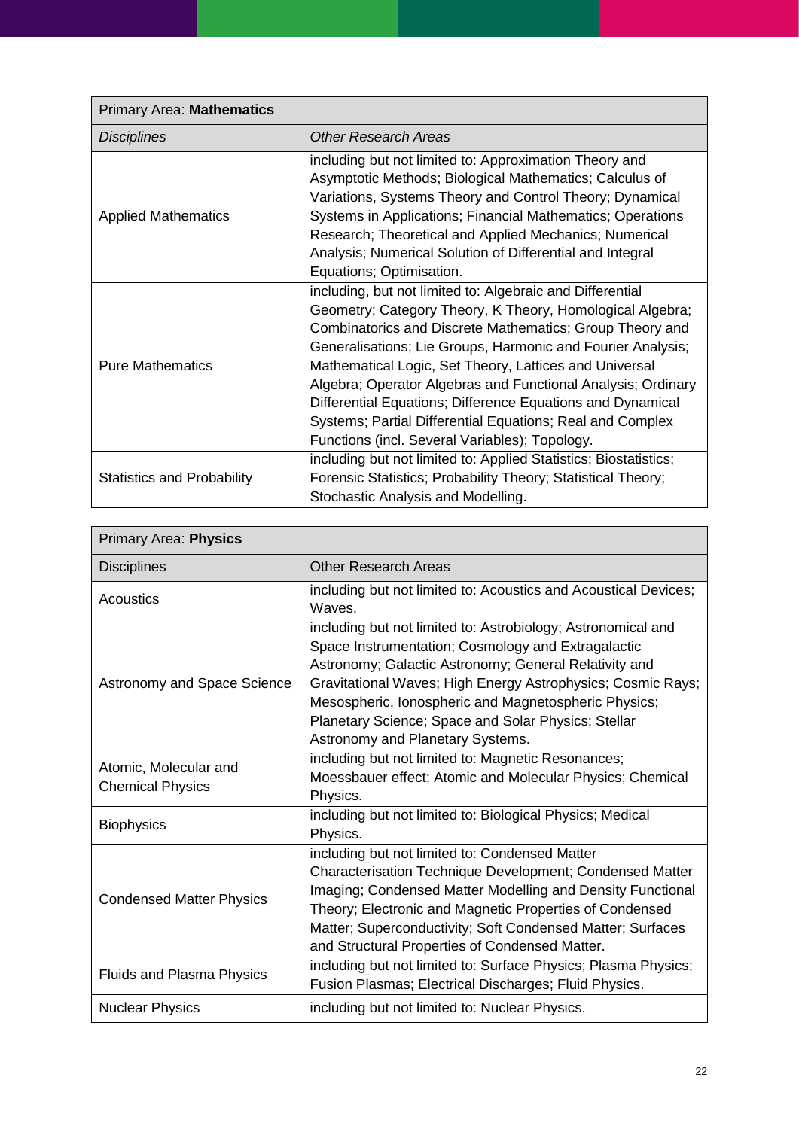| <b>Primary Area: Mathematics</b>  |                                                                                                                                                                                                                                                                                                                                                                                                                                                                                                                                                          |
|-----------------------------------|----------------------------------------------------------------------------------------------------------------------------------------------------------------------------------------------------------------------------------------------------------------------------------------------------------------------------------------------------------------------------------------------------------------------------------------------------------------------------------------------------------------------------------------------------------|
| <b>Disciplines</b>                | <b>Other Research Areas</b>                                                                                                                                                                                                                                                                                                                                                                                                                                                                                                                              |
| <b>Applied Mathematics</b>        | including but not limited to: Approximation Theory and<br>Asymptotic Methods; Biological Mathematics; Calculus of<br>Variations, Systems Theory and Control Theory; Dynamical<br>Systems in Applications; Financial Mathematics; Operations<br>Research; Theoretical and Applied Mechanics; Numerical<br>Analysis; Numerical Solution of Differential and Integral<br>Equations; Optimisation.                                                                                                                                                           |
| <b>Pure Mathematics</b>           | including, but not limited to: Algebraic and Differential<br>Geometry; Category Theory, K Theory, Homological Algebra;<br>Combinatorics and Discrete Mathematics; Group Theory and<br>Generalisations; Lie Groups, Harmonic and Fourier Analysis;<br>Mathematical Logic, Set Theory, Lattices and Universal<br>Algebra; Operator Algebras and Functional Analysis; Ordinary<br>Differential Equations; Difference Equations and Dynamical<br>Systems; Partial Differential Equations; Real and Complex<br>Functions (incl. Several Variables); Topology. |
| <b>Statistics and Probability</b> | including but not limited to: Applied Statistics; Biostatistics;<br>Forensic Statistics; Probability Theory; Statistical Theory;<br>Stochastic Analysis and Modelling.                                                                                                                                                                                                                                                                                                                                                                                   |

| <b>Primary Area: Physics</b>                     |                                                                                                                                                                                                                                                                                                                                                                                               |
|--------------------------------------------------|-----------------------------------------------------------------------------------------------------------------------------------------------------------------------------------------------------------------------------------------------------------------------------------------------------------------------------------------------------------------------------------------------|
| <b>Disciplines</b>                               | Other Research Areas                                                                                                                                                                                                                                                                                                                                                                          |
| Acoustics                                        | including but not limited to: Acoustics and Acoustical Devices;<br>Waves.                                                                                                                                                                                                                                                                                                                     |
| <b>Astronomy and Space Science</b>               | including but not limited to: Astrobiology; Astronomical and<br>Space Instrumentation; Cosmology and Extragalactic<br>Astronomy; Galactic Astronomy; General Relativity and<br>Gravitational Waves; High Energy Astrophysics; Cosmic Rays;<br>Mesospheric, Ionospheric and Magnetospheric Physics;<br>Planetary Science; Space and Solar Physics; Stellar<br>Astronomy and Planetary Systems. |
| Atomic, Molecular and<br><b>Chemical Physics</b> | including but not limited to: Magnetic Resonances;<br>Moessbauer effect; Atomic and Molecular Physics; Chemical<br>Physics.                                                                                                                                                                                                                                                                   |
| <b>Biophysics</b>                                | including but not limited to: Biological Physics; Medical<br>Physics.                                                                                                                                                                                                                                                                                                                         |
| <b>Condensed Matter Physics</b>                  | including but not limited to: Condensed Matter<br>Characterisation Technique Development; Condensed Matter<br>Imaging; Condensed Matter Modelling and Density Functional<br>Theory; Electronic and Magnetic Properties of Condensed<br>Matter; Superconductivity; Soft Condensed Matter; Surfaces<br>and Structural Properties of Condensed Matter.                                           |
| <b>Fluids and Plasma Physics</b>                 | including but not limited to: Surface Physics; Plasma Physics;<br>Fusion Plasmas; Electrical Discharges; Fluid Physics.                                                                                                                                                                                                                                                                       |
| <b>Nuclear Physics</b>                           | including but not limited to: Nuclear Physics.                                                                                                                                                                                                                                                                                                                                                |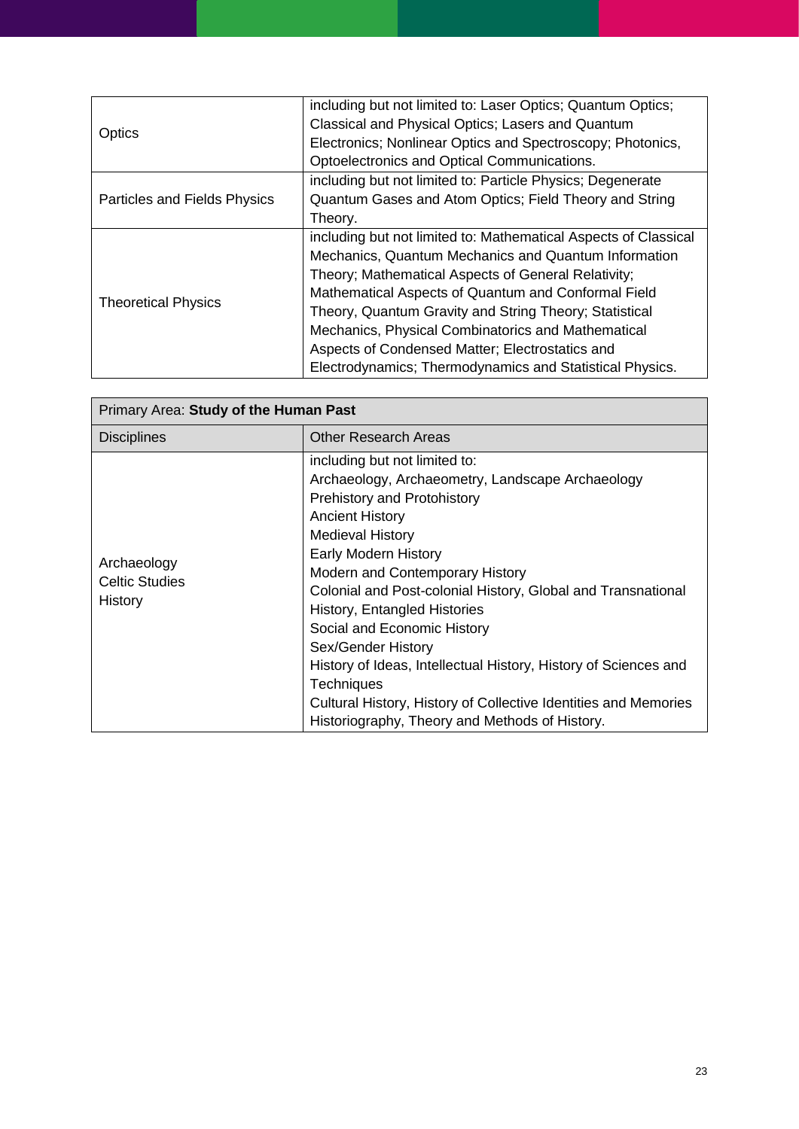| Optics                       | including but not limited to: Laser Optics; Quantum Optics;     |
|------------------------------|-----------------------------------------------------------------|
|                              | Classical and Physical Optics; Lasers and Quantum               |
|                              | Electronics; Nonlinear Optics and Spectroscopy; Photonics,      |
|                              | Optoelectronics and Optical Communications.                     |
|                              | including but not limited to: Particle Physics; Degenerate      |
| Particles and Fields Physics | Quantum Gases and Atom Optics; Field Theory and String          |
|                              | Theory.                                                         |
|                              | including but not limited to: Mathematical Aspects of Classical |
|                              | Mechanics, Quantum Mechanics and Quantum Information            |
|                              | Theory; Mathematical Aspects of General Relativity;             |
| <b>Theoretical Physics</b>   | Mathematical Aspects of Quantum and Conformal Field             |
|                              | Theory, Quantum Gravity and String Theory; Statistical          |
|                              | Mechanics, Physical Combinatorics and Mathematical              |
|                              | Aspects of Condensed Matter; Electrostatics and                 |
|                              | Electrodynamics; Thermodynamics and Statistical Physics.        |

| Primary Area: Study of the Human Past           |                                                                                                                                                                                                                                                                                                                                                                                                                                                                                                                                                                                                           |
|-------------------------------------------------|-----------------------------------------------------------------------------------------------------------------------------------------------------------------------------------------------------------------------------------------------------------------------------------------------------------------------------------------------------------------------------------------------------------------------------------------------------------------------------------------------------------------------------------------------------------------------------------------------------------|
| <b>Disciplines</b>                              | <b>Other Research Areas</b>                                                                                                                                                                                                                                                                                                                                                                                                                                                                                                                                                                               |
| Archaeology<br><b>Celtic Studies</b><br>History | including but not limited to:<br>Archaeology, Archaeometry, Landscape Archaeology<br><b>Prehistory and Protohistory</b><br><b>Ancient History</b><br><b>Medieval History</b><br>Early Modern History<br>Modern and Contemporary History<br>Colonial and Post-colonial History, Global and Transnational<br>History, Entangled Histories<br>Social and Economic History<br>Sex/Gender History<br>History of Ideas, Intellectual History, History of Sciences and<br><b>Techniques</b><br>Cultural History, History of Collective Identities and Memories<br>Historiography, Theory and Methods of History. |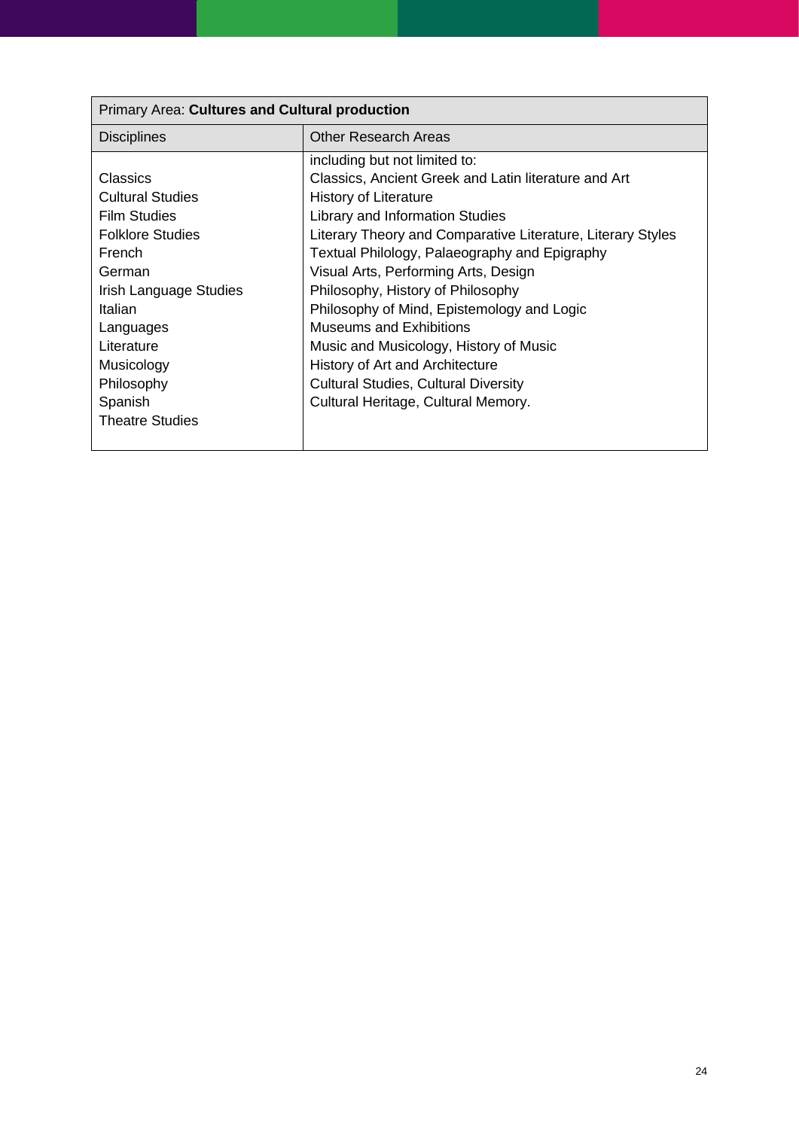| Primary Area: Cultures and Cultural production |                                                             |
|------------------------------------------------|-------------------------------------------------------------|
| <b>Disciplines</b>                             | Other Research Areas                                        |
|                                                | including but not limited to:                               |
| <b>Classics</b>                                | Classics, Ancient Greek and Latin literature and Art        |
| <b>Cultural Studies</b>                        | History of Literature                                       |
| Film Studies                                   | Library and Information Studies                             |
| <b>Folklore Studies</b>                        | Literary Theory and Comparative Literature, Literary Styles |
| French                                         | Textual Philology, Palaeography and Epigraphy               |
| German                                         | Visual Arts, Performing Arts, Design                        |
| Irish Language Studies                         | Philosophy, History of Philosophy                           |
| Italian                                        | Philosophy of Mind, Epistemology and Logic                  |
| Languages                                      | Museums and Exhibitions                                     |
| Literature                                     | Music and Musicology, History of Music                      |
| Musicology                                     | History of Art and Architecture                             |
| Philosophy                                     | <b>Cultural Studies, Cultural Diversity</b>                 |
| Spanish                                        | Cultural Heritage, Cultural Memory.                         |
| <b>Theatre Studies</b>                         |                                                             |
|                                                |                                                             |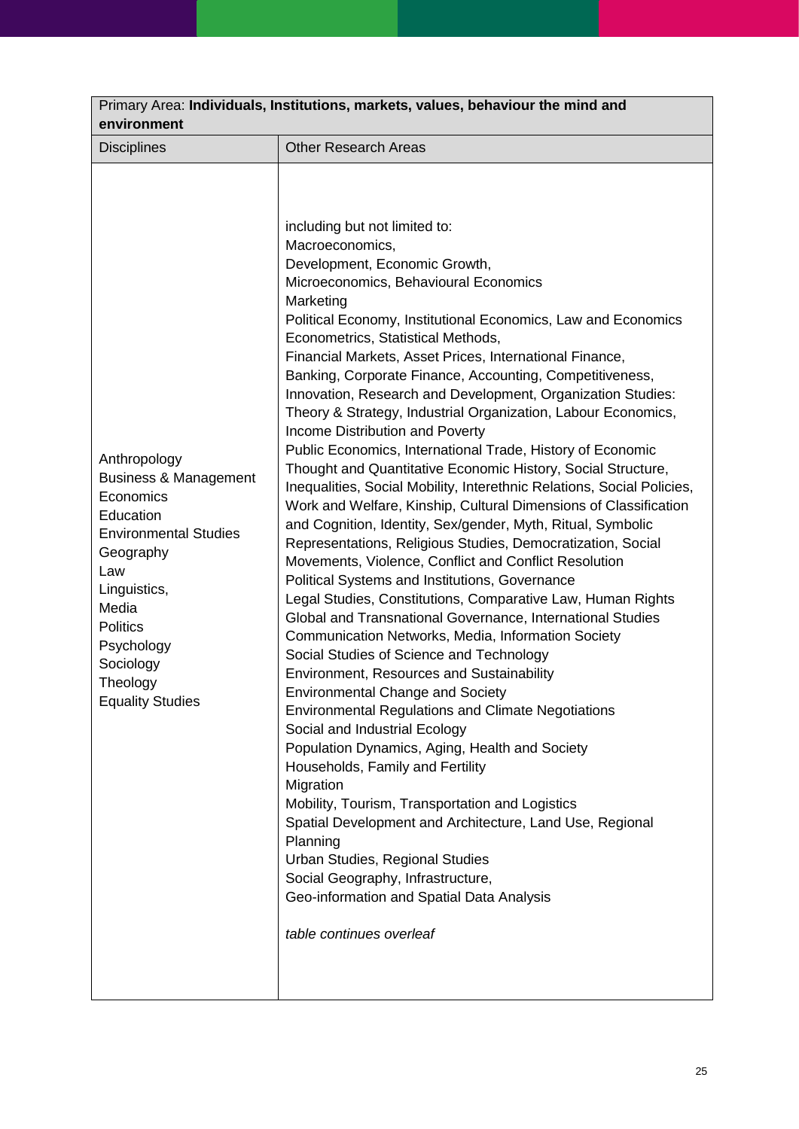| Primary Area: Individuals, Institutions, markets, values, behaviour the mind and<br>environment                                                                                                                                              |                                                                                                                                                                                                                                                                                                                                                                                                                                                                                                                                                                                                                                                                                                                                                                                                                                                                                                                                                                                                                                                                                                                                                                                                                                                                                                                                                                                                                                                                                                                                                                                                                                                                                                                                                                                                                                                                   |  |
|----------------------------------------------------------------------------------------------------------------------------------------------------------------------------------------------------------------------------------------------|-------------------------------------------------------------------------------------------------------------------------------------------------------------------------------------------------------------------------------------------------------------------------------------------------------------------------------------------------------------------------------------------------------------------------------------------------------------------------------------------------------------------------------------------------------------------------------------------------------------------------------------------------------------------------------------------------------------------------------------------------------------------------------------------------------------------------------------------------------------------------------------------------------------------------------------------------------------------------------------------------------------------------------------------------------------------------------------------------------------------------------------------------------------------------------------------------------------------------------------------------------------------------------------------------------------------------------------------------------------------------------------------------------------------------------------------------------------------------------------------------------------------------------------------------------------------------------------------------------------------------------------------------------------------------------------------------------------------------------------------------------------------------------------------------------------------------------------------------------------------|--|
| <b>Disciplines</b>                                                                                                                                                                                                                           | <b>Other Research Areas</b>                                                                                                                                                                                                                                                                                                                                                                                                                                                                                                                                                                                                                                                                                                                                                                                                                                                                                                                                                                                                                                                                                                                                                                                                                                                                                                                                                                                                                                                                                                                                                                                                                                                                                                                                                                                                                                       |  |
| Anthropology<br><b>Business &amp; Management</b><br>Economics<br>Education<br><b>Environmental Studies</b><br>Geography<br>Law<br>Linguistics,<br>Media<br><b>Politics</b><br>Psychology<br>Sociology<br>Theology<br><b>Equality Studies</b> | including but not limited to:<br>Macroeconomics,<br>Development, Economic Growth,<br>Microeconomics, Behavioural Economics<br>Marketing<br>Political Economy, Institutional Economics, Law and Economics<br>Econometrics, Statistical Methods,<br>Financial Markets, Asset Prices, International Finance,<br>Banking, Corporate Finance, Accounting, Competitiveness,<br>Innovation, Research and Development, Organization Studies:<br>Theory & Strategy, Industrial Organization, Labour Economics,<br>Income Distribution and Poverty<br>Public Economics, International Trade, History of Economic<br>Thought and Quantitative Economic History, Social Structure,<br>Inequalities, Social Mobility, Interethnic Relations, Social Policies,<br>Work and Welfare, Kinship, Cultural Dimensions of Classification<br>and Cognition, Identity, Sex/gender, Myth, Ritual, Symbolic<br>Representations, Religious Studies, Democratization, Social<br>Movements, Violence, Conflict and Conflict Resolution<br>Political Systems and Institutions, Governance<br>Legal Studies, Constitutions, Comparative Law, Human Rights<br>Global and Transnational Governance, International Studies<br>Communication Networks, Media, Information Society<br>Social Studies of Science and Technology<br>Environment, Resources and Sustainability<br><b>Environmental Change and Society</b><br><b>Environmental Regulations and Climate Negotiations</b><br>Social and Industrial Ecology<br>Population Dynamics, Aging, Health and Society<br>Households, Family and Fertility<br>Migration<br>Mobility, Tourism, Transportation and Logistics<br>Spatial Development and Architecture, Land Use, Regional<br>Planning<br>Urban Studies, Regional Studies<br>Social Geography, Infrastructure,<br>Geo-information and Spatial Data Analysis<br>table continues overleaf |  |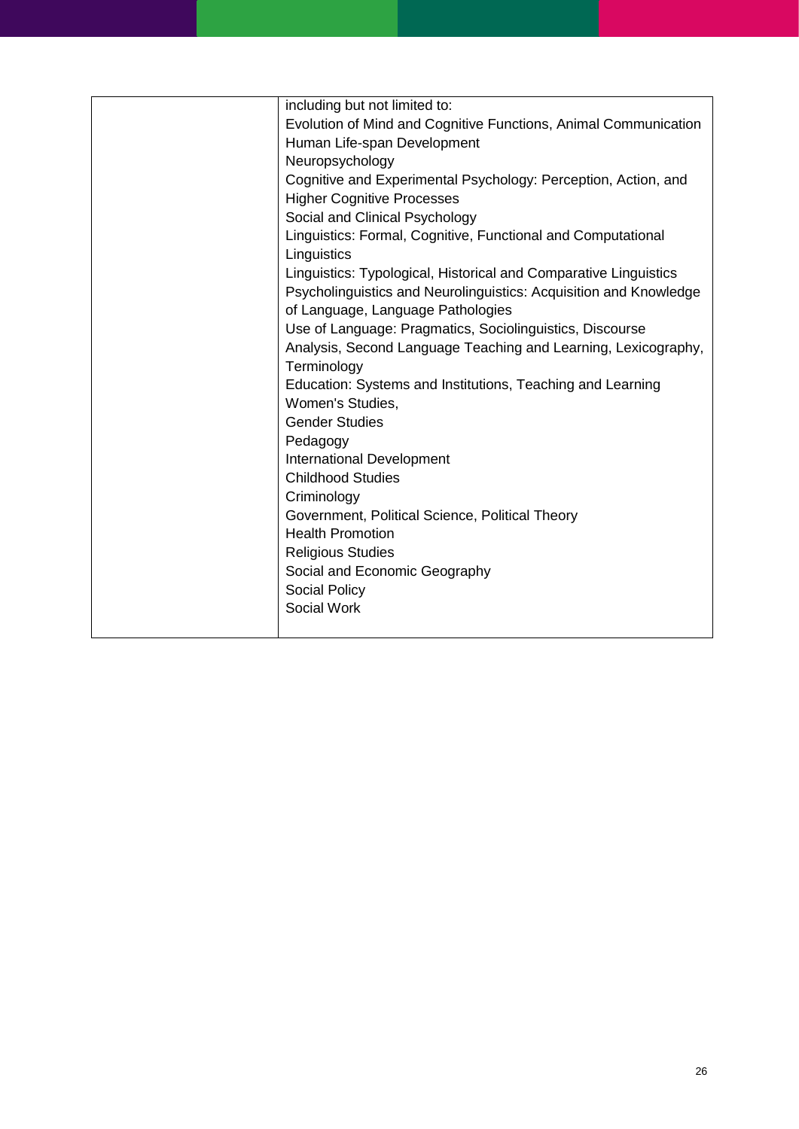| including but not limited to:                                     |
|-------------------------------------------------------------------|
| Evolution of Mind and Cognitive Functions, Animal Communication   |
| Human Life-span Development                                       |
| Neuropsychology                                                   |
| Cognitive and Experimental Psychology: Perception, Action, and    |
| <b>Higher Cognitive Processes</b>                                 |
| Social and Clinical Psychology                                    |
| Linguistics: Formal, Cognitive, Functional and Computational      |
| Linguistics                                                       |
| Linguistics: Typological, Historical and Comparative Linguistics  |
| Psycholinguistics and Neurolinguistics: Acquisition and Knowledge |
| of Language, Language Pathologies                                 |
| Use of Language: Pragmatics, Sociolinguistics, Discourse          |
| Analysis, Second Language Teaching and Learning, Lexicography,    |
| Terminology                                                       |
| Education: Systems and Institutions, Teaching and Learning        |
| Women's Studies,                                                  |
| <b>Gender Studies</b>                                             |
| Pedagogy                                                          |
| <b>International Development</b>                                  |
| <b>Childhood Studies</b>                                          |
| Criminology                                                       |
| Government, Political Science, Political Theory                   |
| <b>Health Promotion</b>                                           |
| <b>Religious Studies</b>                                          |
| Social and Economic Geography                                     |
| Social Policy                                                     |
| Social Work                                                       |
|                                                                   |
|                                                                   |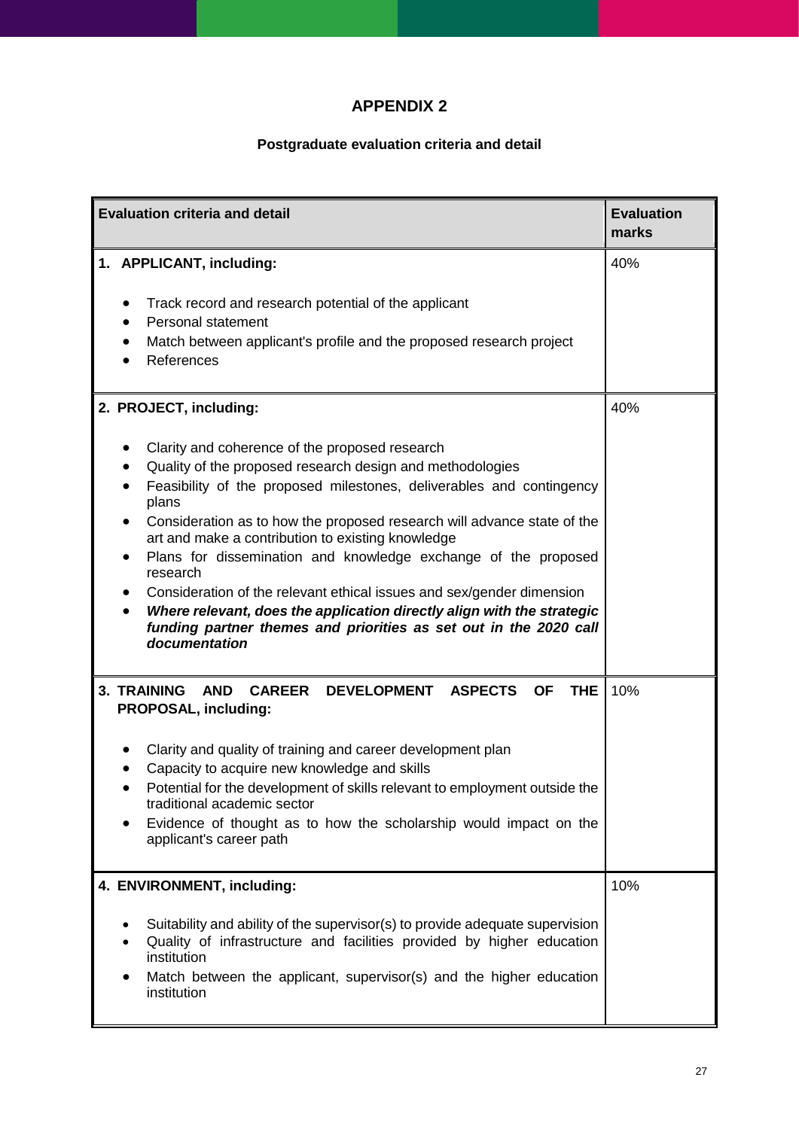# **APPENDIX 2**

# **Postgraduate evaluation criteria and detail**

<span id="page-26-0"></span>

| <b>Evaluation criteria and detail</b>                                                                                                                                                                                                                                                                                                                                                                                                                                                                                                                                                                                                                                                      |                                                                                                                                                                                                                                                                                                                                                                                                                                 | <b>Evaluation</b><br>marks |
|--------------------------------------------------------------------------------------------------------------------------------------------------------------------------------------------------------------------------------------------------------------------------------------------------------------------------------------------------------------------------------------------------------------------------------------------------------------------------------------------------------------------------------------------------------------------------------------------------------------------------------------------------------------------------------------------|---------------------------------------------------------------------------------------------------------------------------------------------------------------------------------------------------------------------------------------------------------------------------------------------------------------------------------------------------------------------------------------------------------------------------------|----------------------------|
|                                                                                                                                                                                                                                                                                                                                                                                                                                                                                                                                                                                                                                                                                            | 1. APPLICANT, including:<br>Track record and research potential of the applicant<br>Personal statement<br>Match between applicant's profile and the proposed research project<br>References                                                                                                                                                                                                                                     | 40%                        |
| 2. PROJECT, including:<br>Clarity and coherence of the proposed research<br>Quality of the proposed research design and methodologies<br>Feasibility of the proposed milestones, deliverables and contingency<br>plans<br>Consideration as to how the proposed research will advance state of the<br>$\bullet$<br>art and make a contribution to existing knowledge<br>Plans for dissemination and knowledge exchange of the proposed<br>research<br>Consideration of the relevant ethical issues and sex/gender dimension<br>Where relevant, does the application directly align with the strategic<br>funding partner themes and priorities as set out in the 2020 call<br>documentation |                                                                                                                                                                                                                                                                                                                                                                                                                                 | 40%                        |
|                                                                                                                                                                                                                                                                                                                                                                                                                                                                                                                                                                                                                                                                                            | 3. TRAINING<br>AND CAREER<br>DEVELOPMENT ASPECTS<br><b>OF</b><br><b>THE</b><br>PROPOSAL, including:<br>Clarity and quality of training and career development plan<br>Capacity to acquire new knowledge and skills<br>Potential for the development of skills relevant to employment outside the<br>traditional academic sector<br>Evidence of thought as to how the scholarship would impact on the<br>applicant's career path | 10%                        |
|                                                                                                                                                                                                                                                                                                                                                                                                                                                                                                                                                                                                                                                                                            | 4. ENVIRONMENT, including:<br>Suitability and ability of the supervisor(s) to provide adequate supervision<br>Quality of infrastructure and facilities provided by higher education<br>institution<br>Match between the applicant, supervisor(s) and the higher education<br>institution                                                                                                                                        | 10%                        |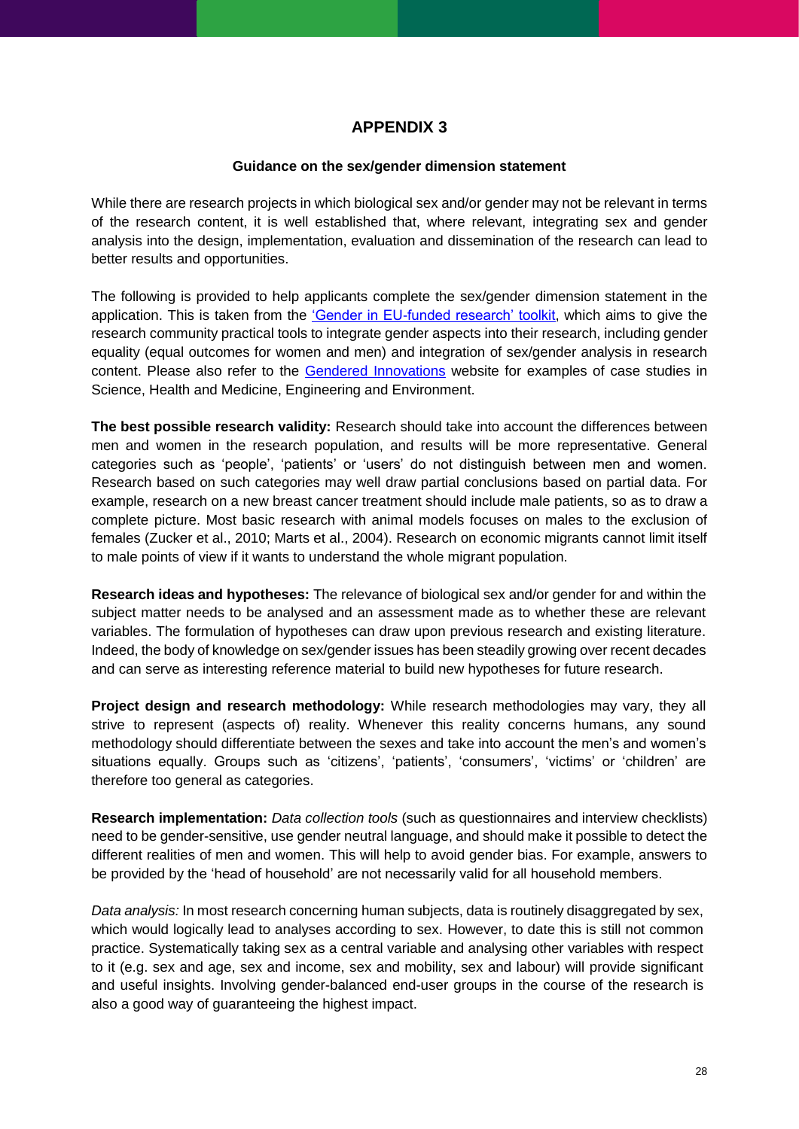# **APPENDIX 3**

#### **Guidance on the sex/gender dimension statement**

<span id="page-27-0"></span>While there are research projects in which biological sex and/or gender may not be relevant in terms of the research content, it is well established that, where relevant, integrating sex and gender analysis into the design, implementation, evaluation and dissemination of the research can lead to better results and opportunities.

The following is provided to help applicants complete the sex/gender dimension statement in the application. This is taken from the ['Gender in EU-funded research' toolkit,](http://www.yellowwindow.be/genderinresearch/downloads/YW2009_GenderToolKit_Module1.pdf) which aims to give the research community practical tools to integrate gender aspects into their research, including gender equality (equal outcomes for women and men) and integration of sex/gender analysis in research content. Please also refer to the [Gendered Innovations](http://genderedinnovations.stanford.edu/) website for examples of case studies in Science, Health and Medicine, Engineering and Environment.

**The best possible research validity:** Research should take into account the differences between men and women in the research population, and results will be more representative. General categories such as 'people', 'patients' or 'users' do not distinguish between men and women. Research based on such categories may well draw partial conclusions based on partial data. For example, research on a new breast cancer treatment should include male patients, so as to draw a complete picture. Most basic research with animal models focuses on males to the exclusion of females (Zucker et al., 2010; Marts et al., 2004). Research on economic migrants cannot limit itself to male points of view if it wants to understand the whole migrant population.

**Research ideas and hypotheses:** The relevance of biological sex and/or gender for and within the subject matter needs to be analysed and an assessment made as to whether these are relevant variables. The formulation of hypotheses can draw upon previous research and existing literature. Indeed, the body of knowledge on sex/gender issues has been steadily growing over recent decades and can serve as interesting reference material to build new hypotheses for future research.

**Project design and research methodology:** While research methodologies may vary, they all strive to represent (aspects of) reality. Whenever this reality concerns humans, any sound methodology should differentiate between the sexes and take into account the men's and women's situations equally. Groups such as 'citizens', 'patients', 'consumers', 'victims' or 'children' are therefore too general as categories.

**Research implementation:** *Data collection tools* (such as questionnaires and interview checklists) need to be gender-sensitive, use gender neutral language, and should make it possible to detect the different realities of men and women. This will help to avoid gender bias. For example, answers to be provided by the 'head of household' are not necessarily valid for all household members.

*Data analysis:* In most research concerning human subjects, data is routinely disaggregated by sex, which would logically lead to analyses according to sex. However, to date this is still not common practice. Systematically taking sex as a central variable and analysing other variables with respect to it (e.g. sex and age, sex and income, sex and mobility, sex and labour) will provide significant and useful insights. Involving gender-balanced end-user groups in the course of the research is also a good way of guaranteeing the highest impact.